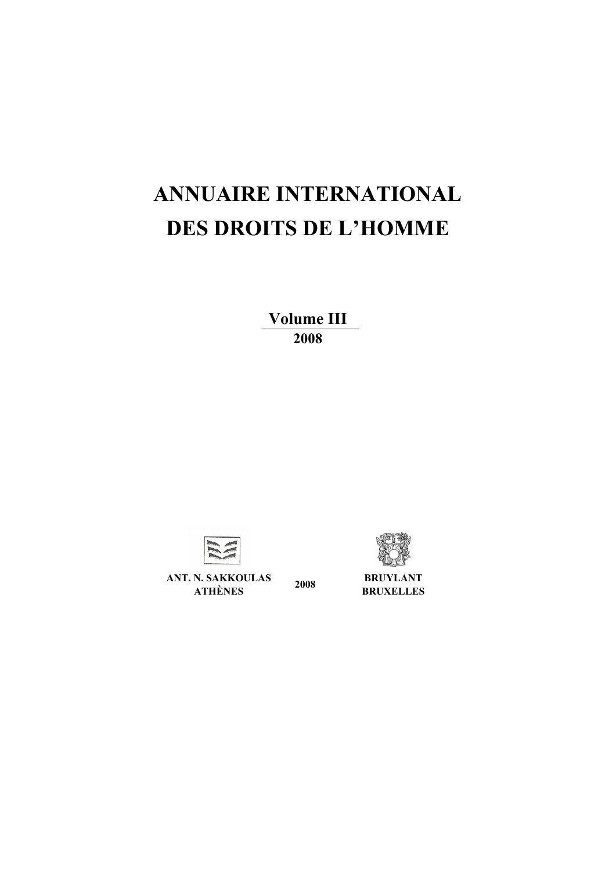# **ANNUAIRE INTERNATIONAL DES DROITS DE L'HOMME**

**Volume IΙI 2008** 



**ANT. N. SAKKOULAS ATHÈNES 2008 BRUYLANT BRUXELLES**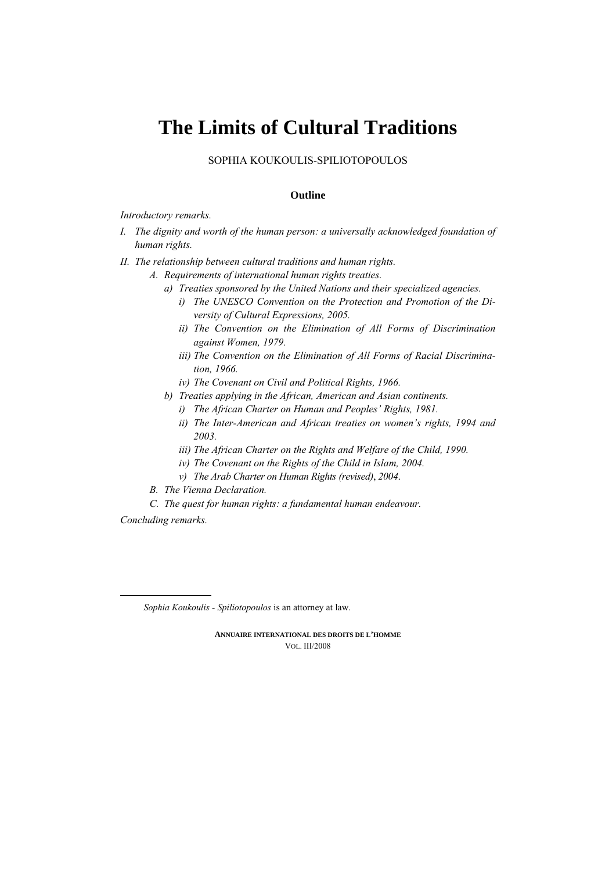# **The Limits of Cultural Traditions**

SOPHIA KOUKOULIS-SPILIOTOPOULOS

## **Outline**

*Introductory remarks.* 

- *I. The dignity and worth of the human person: a universally acknowledged foundation of human rights.*
- *II. The relationship between cultural traditions and human rights.* 
	- *Α. Requirements of international human rights treaties.* 
		- *a) Treaties sponsored by the United Nations and their specialized agencies.* 
			- *i) The UNESCO Convention on the Protection and Promotion of the Diversity of Cultural Expressions, 2005.*
			- *ii) The Convention on the Elimination of All Forms of Discrimination against Women, 1979.*
			- *iii) The Convention on the Elimination of All Forms of Racial Discrimination, 1966.*
			- *iv*) The Covenant on Civil and Political Rights, 1966.
		- *b) Treaties applying in the African, American and Asian continents.* 
			- *i) The African Charter on Human and Peoples' Rights, 1981.*
			- *ii) The Ιnter-American and African treaties on women's rights, 1994 and 2003.*
			- *iii)* The African Charter on the Rights and Welfare of the Child, 1990.
			- *iv*) The Covenant on the Rights of the Child in Islam, 2004.
			- *v) The Arab Charter on Human Rights (revised)*, *2004*.
	- *Β. The Vienna Declaration.*
	- *C. The quest for human rights: a fundamental human endeavour.*

*Concluding remarks.*

*Sophia Koukoulis - Spiliotopoulos* is an attorney at law.

**ANNUAIRE INTERNATIONAL DES DROITS DE L'HOMME** VOL. IΙI/2008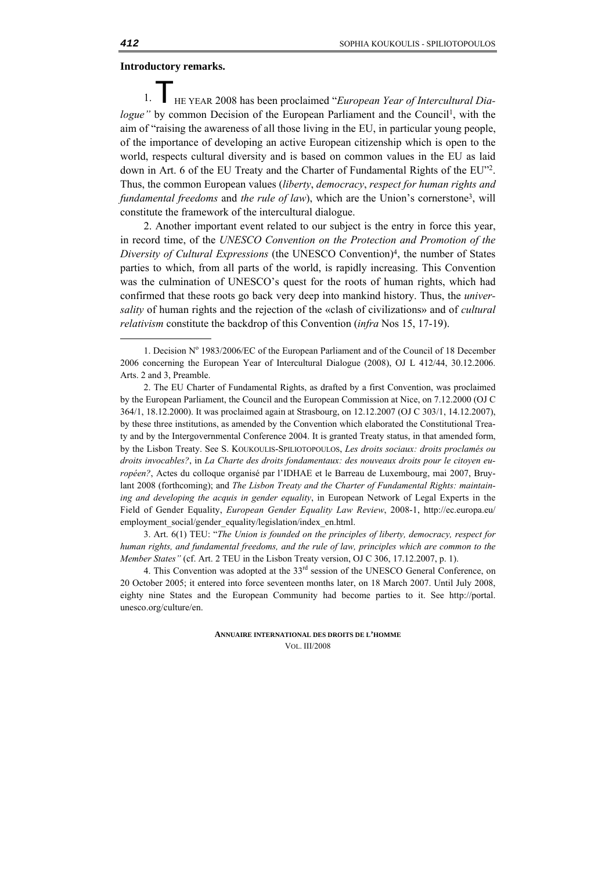#### **Introductory remarks.**

HE YEAR 2008 has been proclaimed "*European Year of Intercultural Dialogue*" by common Decision of the European Parliament and the Council<sup>1</sup>, with the aim of "raising the awareness of all those living in the EU, in particular young people, of the importance of developing an active European citizenship which is open to the world, respects cultural diversity and is based on common values in the EU as laid down in Art. 6 of the EU Treaty and the Charter of Fundamental Rights of the EU"2. Thus, the common European values (*liberty*, *democracy*, *respect for human rights and fundamental freedoms* and *the rule of law*), which are the Union's cornerstone3, will constitute the framework of the intercultural dialogue. 1. T

2. Another important event related to our subject is the entry in force this year, in record time, of the *UNESCO Convention on the Protection and Promotion of the Diversity of Cultural Expressions* (the UNESCO Convention)4, the number of States parties to which, from all parts of the world, is rapidly increasing. This Convention was the culmination of UNESCO's quest for the roots of human rights, which had confirmed that these roots go back very deep into mankind history. Thus, the *universality* of human rights and the rejection of the «clash of civilizations» and of *cultural relativism* constitute the backdrop of this Convention (*infra* Nos 15, 17-19).

3. Art. 6(1) TEU: "*The Union is founded on the principles of liberty, democracy, respect for human rights, and fundamental freedoms, and the rule of law, principles which are common to the Member States"* (cf. Art. 2 TEU in the Lisbon Treaty version, OJ C 306, 17.12.2007, p. 1).

**ANNUAIRE INTERNATIONAL DES DROITS DE L'HOMME** VOL. III/2008

-

<sup>1.</sup> Decision Nº 1983/2006/EC of the European Parliament and of the Council of 18 December 2006 concerning the European Year of Intercultural Dialogue (2008), OJ L 412/44, 30.12.2006. Arts. 2 and 3, Preamble.

<sup>2.</sup> The EU Charter of Fundamental Rights, as drafted by a first Convention, was proclaimed by the European Parliament, the Council and the European Commission at Nice, on 7.12.2000 (OJ C 364/1, 18.12.2000). It was proclaimed again at Strasbourg, on 12.12.2007 (OJ C 303/1, 14.12.2007), by these three institutions, as amended by the Convention which elaborated the Constitutional Treaty and by the Intergovernmental Conference 2004. It is granted Treaty status, in that amended form, by the Lisbon Treaty. See S. KOUKOULIS-SPILIOTOPOULOS, *Les droits sociaux: droits proclamés ou droits invocables?*, in *La Charte des droits fondamentaux: des nouveaux droits pour le citoyen européen?*, Actes du colloque organisé par l'IDHAE et le Barreau de Luxembourg, mai 2007, Bruylant 2008 (forthcoming); and *The Lisbon Treaty and the Charter of Fundamental Rights: maintaining and developing the acquis in gender equality*, in European Network of Legal Experts in the Field of Gender Equality, *European Gender Equality Law Review*, 2008-1, http://ec.europa.eu/ employment\_social/gender\_equality/legislation/index\_en.html.

<sup>4.</sup> This Convention was adopted at the 33<sup>rd</sup> session of the UNESCO General Conference, on 20 October 2005; it entered into force seventeen months later, on 18 March 2007. Until July 2008, eighty nine States and the European Community had become parties to it. See http://portal. unesco.org/culture/en.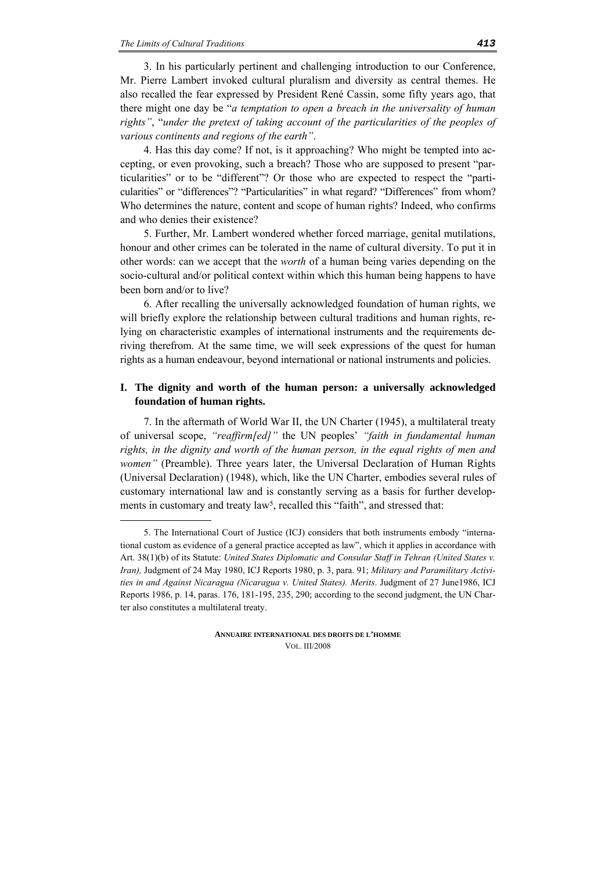<u>.</u>

3. In his particularly pertinent and challenging introduction to our Conference, Mr. Pierre Lambert invoked cultural pluralism and diversity as central themes. He also recalled the fear expressed by President René Cassin, some fifty years ago, that there might one day be "*a temptation to open a breach in the universality of human rights"*, "*under the pretext of taking account of the particularities of the peoples of various continents and regions of the earth"*.

4. Has this day come? If not, is it approaching? Who might be tempted into accepting, or even provoking, such a breach? Those who are supposed to present "particularities" or to be "different"? Or those who are expected to respect the "particularities" or "differences"? "Particularities" in what regard? "Differences" from whom? Who determines the nature, content and scope of human rights? Indeed, who confirms and who denies their existence?

5. Further, Mr. Lambert wondered whether forced marriage, genital mutilations, honour and other crimes can be tolerated in the name of cultural diversity. To put it in other words: can we accept that the *worth* of a human being varies depending on the socio-cultural and/or political context within which this human being happens to have been born and/or to live?

6. After recalling the universally acknowledged foundation of human rights, we will briefly explore the relationship between cultural traditions and human rights, relying on characteristic examples of international instruments and the requirements deriving therefrom. At the same time, we will seek expressions of the quest for human rights as a human endeavour, beyond international or national instruments and policies.

# **I. The dignity and worth of the human person: a universally acknowledged foundation of human rights.**

7. In the aftermath of World War II, the UN Charter (1945), a multilateral treaty of universal scope, *"reaffirm[ed]"* the UN peoples' *"faith in fundamental human rights, in the dignity and worth of the human person, in the equal rights of men and women"* (Preamble). Three years later, the Universal Declaration of Human Rights (Universal Declaration) (1948), which, like the UN Charter, embodies several rules of customary international law and is constantly serving as a basis for further developments in customary and treaty law<sup>5</sup>, recalled this "faith", and stressed that:

<sup>5.</sup> The International Court of Justice (ICJ) considers that both instruments embody "international custom as evidence of a general practice accepted as law", which it applies in accordance with Art. 38(1)(b) of its Statute: *United States Diplomatic and Consular Staff in Tehran (United States v. Iran),* Judgment of 24 May 1980, ICJ Reports 1980, p. 3, para. 91; *Military and Paramilitary Activities in and Against Nicaragua (Nicaragua v. United States). Merits*. Judgment of 27 June1986, ICJ Reports 1986, p. 14, paras. 176, 181-195, 235, 290; according to the second judgment, the UN Charter also constitutes a multilateral treaty.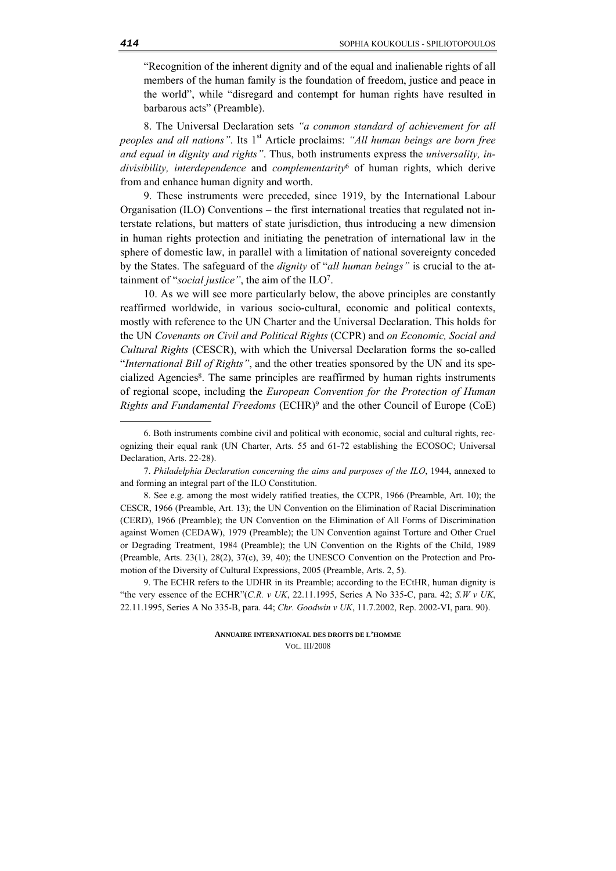"Recognition of the inherent dignity and of the equal and inalienable rights of all members of the human family is the foundation of freedom, justice and peace in the world", while "disregard and contempt for human rights have resulted in barbarous acts" (Preamble).

8. The Universal Declaration sets *"a common standard of achievement for all peoples and all nations*". Its 1<sup>st</sup> Article proclaims: "All human beings are born free *and equal in dignity and rights"*. Thus, both instruments express the *universality, indivisibility, interdependence* and *complementarity*6 of human rights, which derive from and enhance human dignity and worth.

9. These instruments were preceded, since 1919, by the International Labour Organisation (ILO) Conventions – the first international treaties that regulated not interstate relations, but matters of state jurisdiction, thus introducing a new dimension in human rights protection and initiating the penetration of international law in the sphere of domestic law, in parallel with a limitation of national sovereignty conceded by the States. The safeguard of the *dignity* of "*all human beings"* is crucial to the attainment of "*social justice"*, the aim of the ILO7.

10. As we will see more particularly below, the above principles are constantly reaffirmed worldwide, in various socio-cultural, economic and political contexts, mostly with reference to the UN Charter and the Universal Declaration. This holds for the UN *Covenants on Civil and Political Rights* (CCPR) and *on Economic, Social and Cultural Rights* (CESCR), with which the Universal Declaration forms the so-called "*International Bill of Rights"*, and the other treaties sponsored by the UN and its specialized Agencies<sup>8</sup>. The same principles are reaffirmed by human rights instruments of regional scope, including the *European Convention for the Protection of Human Rights and Fundamental Freedoms* (ECHR)9 and the other Council of Europe (CoE)

9. The ECHR refers to the UDHR in its Preamble; according to the ECtHR, human dignity is "the very essence of the ECHR"(*C.R. v UK*, 22.11.1995, Series A No 335-C, para. 42; *S.W v UK*, 22.11.1995, Series A No 335-B, para. 44; *Chr. Goodwin v UK*, 11.7.2002, Rep. 2002-VI, para. 90).

> **ANNUAIRE INTERNATIONAL DES DROITS DE L'HOMME** VOL. III/2008

<sup>6.</sup> Both instruments combine civil and political with economic, social and cultural rights, recognizing their equal rank (UN Charter, Arts. 55 and 61-72 establishing the ECOSOC; Universal Declaration, Arts. 22-28).

<sup>7.</sup> *Philadelphia Declaration concerning the aims and purposes of the ILO*, 1944, annexed to and forming an integral part of the ILO Constitution.

<sup>8.</sup> See e.g. among the most widely ratified treaties, the CCPR, 1966 (Preamble, Art. 10); the CESCR, 1966 (Preamble, Art. 13); the UN Convention on the Elimination of Racial Discrimination (CERD), 1966 (Preamble); the UN Convention on the Elimination of All Forms of Discrimination against Women (CEDAW), 1979 (Preamble); the UN Convention against Torture and Other Cruel or Degrading Treatment, 1984 (Preamble); the UN Convention on the Rights of the Child, 1989 (Preamble, Arts. 23(1), 28(2), 37(c), 39, 40); the UNESCO Convention on the Protection and Promotion of the Diversity of Cultural Expressions, 2005 (Preamble, Arts. 2, 5).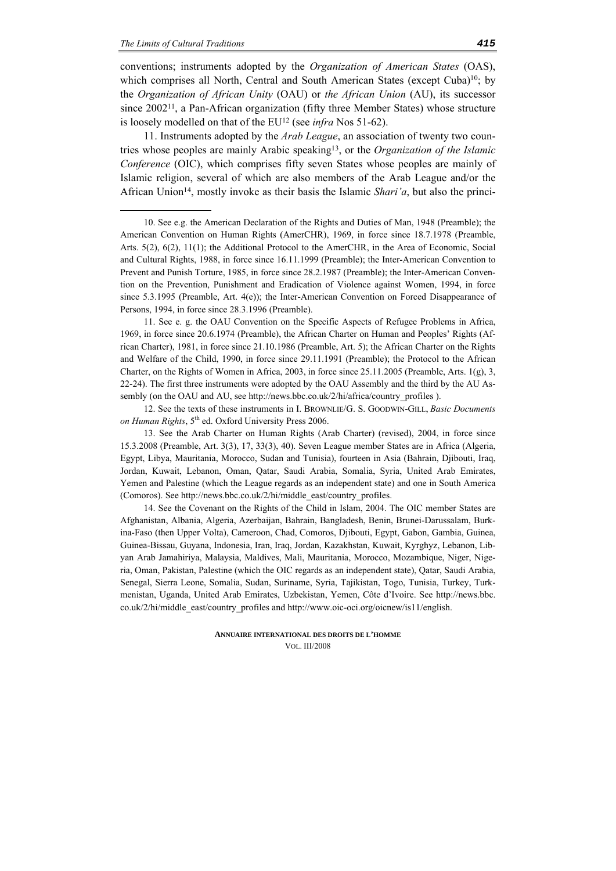-

conventions; instruments adopted by the *Organization of American States* (OAS), which comprises all North, Central and South American States (except Cuba)<sup>10</sup>; by the *Organization of African Unity* (OAU) or *the African Union* (AU), its successor since  $2002<sup>11</sup>$ , a Pan-African organization (fifty three Member States) whose structure is loosely modelled on that of the EU12 (see *infra* Nos 51-62).

11. Instruments adopted by the *Arab League*, an association of twenty two countries whose peoples are mainly Arabic speaking13, or the *Organization of the Islamic Conference* (OIC), which comprises fifty seven States whose peoples are mainly of Islamic religion, several of which are also members of the Arab League and/or the African Union14, mostly invoke as their basis the Islamic *Shari'a*, but also the princi-

11. See e. g. the OAU Convention on the Specific Aspects of Refugee Problems in Africa, 1969, in force since 20.6.1974 (Preamble), the African Charter on Human and Peoples' Rights (African Charter), 1981, in force since 21.10.1986 (Preamble, Art. 5); the African Charter on the Rights and Welfare of the Child, 1990, in force since 29.11.1991 (Preamble); the Protocol to the African Charter, on the Rights of Women in Africa, 2003, in force since 25.11.2005 (Preamble, Arts. 1(g), 3, 22-24). The first three instruments were adopted by the OAU Assembly and the third by the AU Assembly (on the OAU and AU, see http://news.bbc.co.uk/2/hi/africa/country\_profiles ).

12. See the texts of these instruments in I. BROWNLIE/G. S. GOODWIN-GILL, *Basic Documents on Human Rights*, 5th ed. Oxford University Press 2006.

14. See the Covenant on the Rights of the Child in Islam, 2004. The OIC member States are Afghanistan, Albania, Algeria, Azerbaijan, Bahrain, Bangladesh, Benin, Brunei-Darussalam, Burkina-Faso (then Upper Volta), Cameroon, Chad, Comoros, Djibouti, Egypt, Gabon, Gambia, Guinea, Guinea-Bissau, Guyana, Indonesia, Iran, Iraq, Jordan, Kazakhstan, Kuwait, Kyrghyz, Lebanon, Libyan Arab Jamahiriya, Malaysia, Maldives, Mali, Mauritania, Morocco, Mozambique, Niger, Nigeria, Oman, Pakistan, Palestine (which the OIC regards as an independent state), Qatar, Saudi Arabia, Senegal, Sierra Leone, Somalia, Sudan, Suriname, Syria, Tajikistan, Togo, Tunisia, Turkey, Turkmenistan, Uganda, United Arab Emirates, Uzbekistan, Yemen, Côte d'Ivoire. See http://news.bbc. co.uk/2/hi/middle\_east/country\_profiles and http://www.oic-oci.org/oicnew/is11/english.

<sup>10.</sup> See e.g. the American Declaration of the Rights and Duties of Man, 1948 (Preamble); the American Convention on Human Rights (AmerCHR), 1969, in force since 18.7.1978 (Preamble, Arts. 5(2), 6(2), 11(1); the Additional Protocol to the AmerCHR, in the Area of Economic, Social and Cultural Rights, 1988, in force since 16.11.1999 (Preamble); the Inter-American Convention to Prevent and Punish Torture, 1985, in force since 28.2.1987 (Preamble); the Inter-American Convention on the Prevention, Punishment and Eradication of Violence against Women, 1994, in force since 5.3.1995 (Preamble, Art.  $4(e)$ ); the Inter-American Convention on Forced Disappearance of Persons, 1994, in force since 28.3.1996 (Preamble).

<sup>13.</sup> See the Arab Charter on Human Rights (Arab Charter) (revised), 2004, in force since 15.3.2008 (Preamble, Art. 3(3), 17, 33(3), 40). Seven League member States are in Africa (Algeria, Egypt, Libya, Mauritania, Morocco, Sudan and Tunisia), fourteen in Asia (Bahrain, Djibouti, Iraq, Jordan, Kuwait, Lebanon, Oman, Qatar, Saudi Arabia, Somalia, Syria, United Arab Emirates, Yemen and Palestine (which the League regards as an independent state) and one in South America (Comoros). See http://news.bbc.co.uk/2/hi/middle\_east/country\_profiles.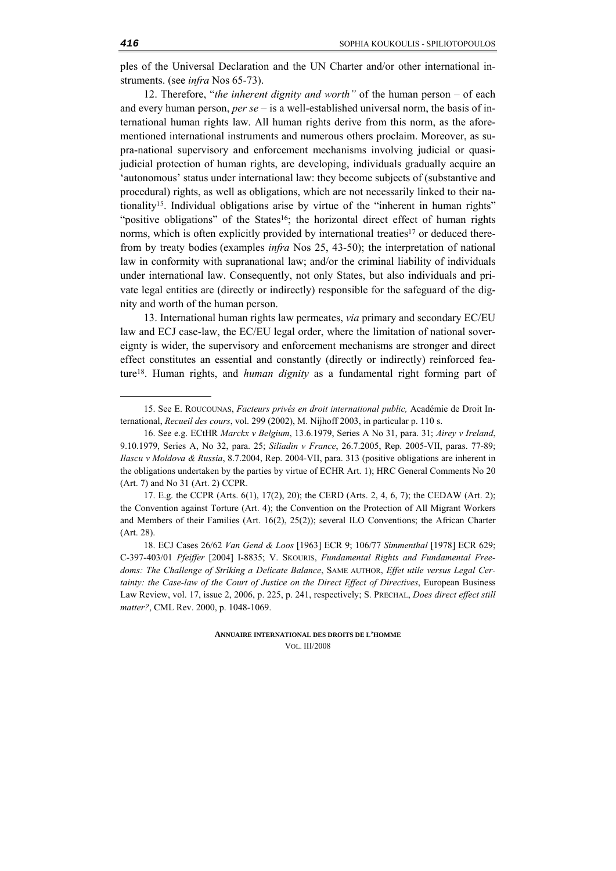ples of the Universal Declaration and the UN Charter and/or other international instruments. (see *infra* Nos 65-73).

12. Therefore, "*the inherent dignity and worth"* of the human person – of each and every human person, *per se* – is a well-established universal norm, the basis of international human rights law. All human rights derive from this norm, as the aforementioned international instruments and numerous others proclaim. Moreover, as supra-national supervisory and enforcement mechanisms involving judicial or quasijudicial protection of human rights, are developing, individuals gradually acquire an 'autonomous' status under international law: they become subjects of (substantive and procedural) rights, as well as obligations, which are not necessarily linked to their nationality15. Individual obligations arise by virtue of the "inherent in human rights" "positive obligations" of the States<sup>16</sup>; the horizontal direct effect of human rights norms, which is often explicitly provided by international treaties<sup>17</sup> or deduced therefrom by treaty bodies (examples *infra* Nos 25, 43-50); the interpretation of national law in conformity with supranational law; and/or the criminal liability of individuals under international law. Consequently, not only States, but also individuals and private legal entities are (directly or indirectly) responsible for the safeguard of the dignity and worth of the human person.

13. International human rights law permeates, *via* primary and secondary EC/EU law and ECJ case-law, the EC/EU legal order, where the limitation of national sovereignty is wider, the supervisory and enforcement mechanisms are stronger and direct effect constitutes an essential and constantly (directly or indirectly) reinforced feature18. Human rights, and *human dignity* as a fundamental right forming part of

<sup>15.</sup> See E. ROUCOUNAS, *Facteurs privés en droit international public,* Académie de Droit International, *Recueil des cours*, vol. 299 (2002), M. Nijhoff 2003, in particular p. 110 s.

<sup>16.</sup> See e.g. ECtHR *Marckx v Belgium*, 13.6.1979, Series A No 31, para. 31; *Airey v Ireland*, 9.10.1979, Series A, No 32, para. 25; *Siliadin v France*, 26.7.2005, Rep. 2005-VII, paras. 77-89; *Ilascu v Moldova & Russia*, 8.7.2004, Rep. 2004-VII, para. 313 (positive obligations are inherent in the obligations undertaken by the parties by virtue of ECHR Art. 1); HRC General Comments No 20 (Art. 7) and No 31 (Art. 2) CCPR.

<sup>17.</sup> E.g. the CCPR (Arts. 6(1), 17(2), 20); the CERD (Arts. 2, 4, 6, 7); the CEDAW (Art. 2); the Convention against Torture (Art. 4); the Convention on the Protection of All Migrant Workers and Members of their Families (Art. 16(2), 25(2)); several ILO Conventions; the African Charter (Art. 28).

<sup>18.</sup> ECJ Cases 26/62 *Van Gend & Loos* [1963] ECR 9; 106/77 *Simmenthal* [1978] ECR 629; C-397-403/01 *Pfeiffer* [2004] I-8835; V. SKOURIS, *Fundamental Rights and Fundamental Freedoms: The Challenge of Striking a Delicate Balance*, SAME AUTHOR, *Effet utile versus Legal Certainty: the Case-law of the Court of Justice on the Direct Effect of Directives*, European Business Law Review, vol. 17, issue 2, 2006, p. 225, p. 241, respectively; S. PRECHAL, *Does direct effect still matter?*, CML Rev. 2000, p. 1048-1069.

**ANNUAIRE INTERNATIONAL DES DROITS DE L'HOMME** VOL. III/2008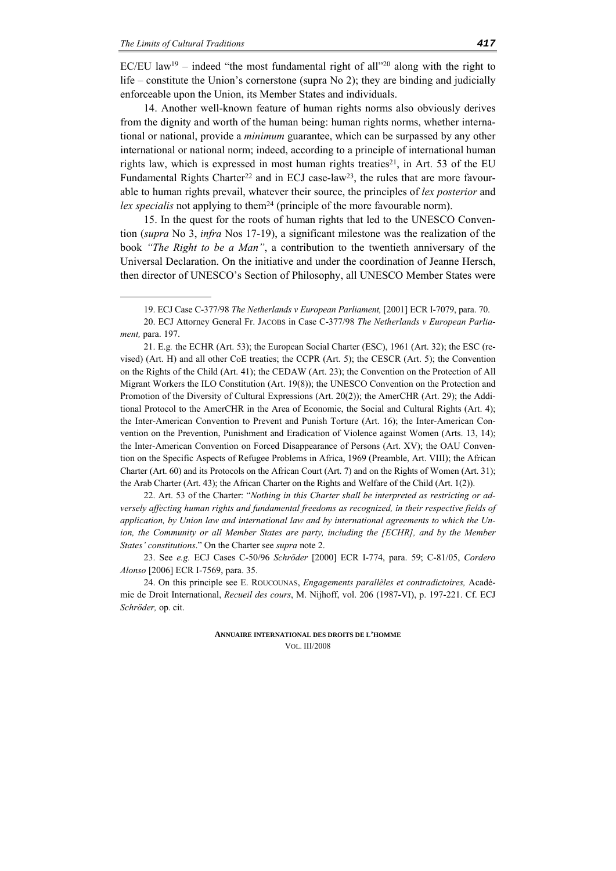<u>.</u>

EC/EU law<sup>19</sup> – indeed "the most fundamental right of all"<sup>20</sup> along with the right to life – constitute the Union's cornerstone (supra No 2); they are binding and judicially enforceable upon the Union, its Member States and individuals.

14. Another well-known feature of human rights norms also obviously derives from the dignity and worth of the human being: human rights norms, whether international or national, provide a *minimum* guarantee, which can be surpassed by any other international or national norm; indeed, according to a principle of international human rights law, which is expressed in most human rights treaties<sup>21</sup>, in Art. 53 of the EU Fundamental Rights Charter<sup>22</sup> and in ECJ case-law<sup>23</sup>, the rules that are more favourable to human rights prevail, whatever their source, the principles of *lex posterior* and *lex specialis* not applying to them<sup>24</sup> (principle of the more favourable norm).

15. In the quest for the roots of human rights that led to the UNESCO Convention (*supra* No 3, *infra* Nos 17-19), a significant milestone was the realization of the book *"The Right to be a Man"*, a contribution to the twentieth anniversary of the Universal Declaration. On the initiative and under the coordination of Jeanne Hersch, then director of UNESCO's Section of Philosophy, all UNESCO Member States were

21. E.g*.* the ECHR (Art. 53); the European Social Charter (ESC), 1961 (Art. 32); the ESC (revised) (Art. H) and all other CoE treaties; the CCPR (Art. 5); the CESCR (Art. 5); the Convention on the Rights of the Child (Art. 41); the CEDAW (Art. 23); the Convention on the Protection of All Migrant Workers the ILO Constitution (Art. 19(8)); the UNESCO Convention on the Protection and Promotion of the Diversity of Cultural Expressions (Art. 20(2)); the AmerCHR (Art. 29); the Additional Protocol to the AmerCHR in the Area of Economic, the Social and Cultural Rights (Art. 4); the Inter-American Convention to Prevent and Punish Torture (Art. 16); the Inter-American Convention on the Prevention, Punishment and Eradication of Violence against Women (Arts. 13, 14); the Inter-American Convention on Forced Disappearance of Persons (Art. XV); the OAU Convention on the Specific Aspects of Refugee Problems in Africa, 1969 (Preamble, Art. VIII); the African Charter (Art. 60) and its Protocols on the African Court (Art. 7) and on the Rights of Women (Art. 31); the Arab Charter (Art. 43); the African Charter on the Rights and Welfare of the Child (Art. 1(2)).

22. Art. 53 of the Charter: "*Nothing in this Charter shall be interpreted as restricting or adversely affecting human rights and fundamental freedoms as recognized, in their respective fields of application, by Union law and international law and by international agreements to which the Union, the Community or all Member States are party, including the [ECHR], and by the Member States' constitutions*." On the Charter see *supra* note 2.

23. See *e.g.* ECJ Cases C-50/96 *Schröder* [2000] ECR Ι-774, para. 59; C-81/05, *Cordero Alonso* [2006] ECR I-7569, para. 35.

24. On this principle see E. ROUCOUNAS, *Engagements parallèles et contradictoires,* Académie de Droit International, *Recueil des cours*, M. Nijhoff, vol. 206 (1987-VI), p. 197-221. Cf. ECJ *Schröder,* op. cit.

<sup>19.</sup> ECJ Case C-377/98 *The Netherlands v European Parliament,* [2001] ECR I-7079, para. 70.

<sup>20.</sup> ECJ Attorney General Fr. JACOBS in Case C-377/98 *The Netherlands v European Parliament,* para. 197.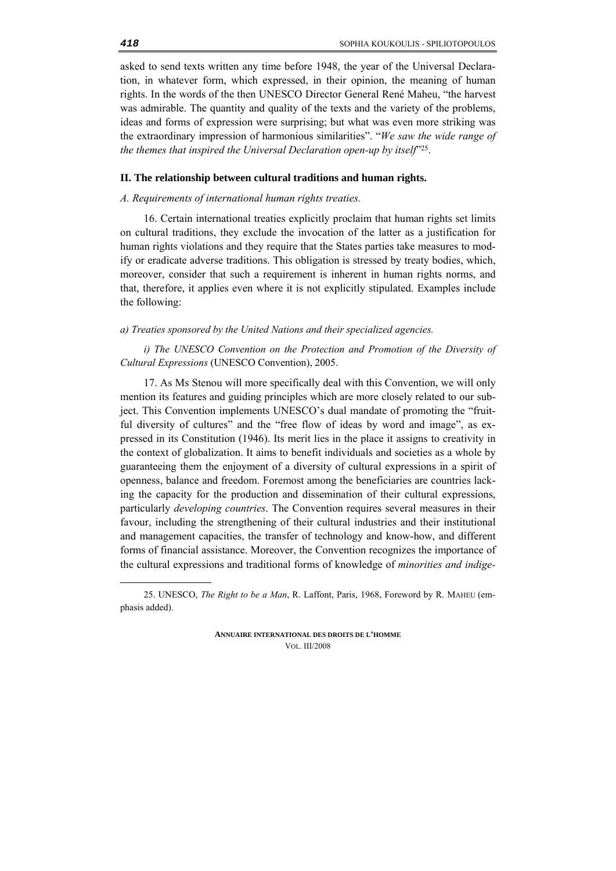asked to send texts written any time before 1948, the year of the Universal Declaration, in whatever form, which expressed, in their opinion, the meaning of human rights. In the words of the then UNESCO Director General René Maheu, "the harvest was admirable. The quantity and quality of the texts and the variety of the problems, ideas and forms of expression were surprising; but what was even more striking was the extraordinary impression of harmonious similarities". "*We saw the wide range of the themes that inspired the Universal Declaration open-up by itself*"25.

#### **II. The relationship between cultural traditions and human rights.**

## *A. Requirements of international human rights treaties.*

16. Certain international treaties explicitly proclaim that human rights set limits on cultural traditions, they exclude the invocation of the latter as a justification for human rights violations and they require that the States parties take measures to modify or eradicate adverse traditions. This obligation is stressed by treaty bodies, which, moreover, consider that such a requirement is inherent in human rights norms, and that, therefore, it applies even where it is not explicitly stipulated. Examples include the following:

#### *a) Treaties sponsored by the United Nations and their specialized agencies.*

*i) The UNESCO Convention on the Protection and Promotion of the Diversity of Cultural Expressions* (UNESCO Convention), 2005.

17. As Ms Stenou will more specifically deal with this Convention, we will only mention its features and guiding principles which are more closely related to our subject. This Convention implements UNESCO's dual mandate of promoting the "fruitful diversity of cultures" and the "free flow of ideas by word and image", as expressed in its Constitution (1946). Its merit lies in the place it assigns to creativity in the context of globalization. It aims to benefit individuals and societies as a whole by guaranteeing them the enjoyment of a diversity of cultural expressions in a spirit of openness, balance and freedom. Foremost among the beneficiaries are countries lacking the capacity for the production and dissemination of their cultural expressions, particularly *developing countries*. The Convention requires several measures in their favour, including the strengthening of their cultural industries and their institutional and management capacities, the transfer of technology and know-how, and different forms of financial assistance. Moreover, the Convention recognizes the importance of the cultural expressions and traditional forms of knowledge of *minorities and indige-*

**ANNUAIRE INTERNATIONAL DES DROITS DE L'HOMME** VOL. III/2008

<sup>25.</sup> UNESCO, *The Right to be a Man*, R. Laffont, Paris, 1968, Foreword by R. MAHEU (emphasis added).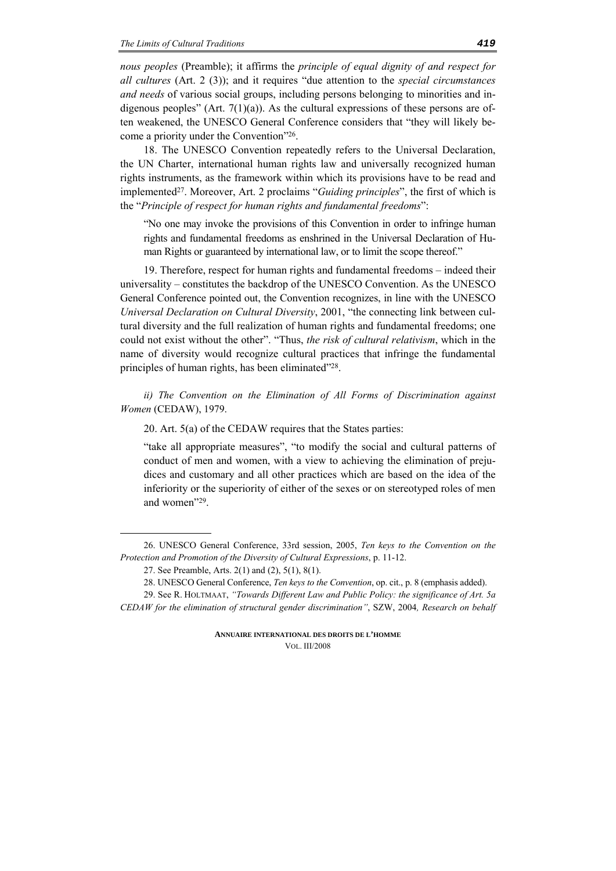*nous peoples* (Preamble); it affirms the *principle of equal dignity of and respect for all cultures* (Art. 2 (3)); and it requires "due attention to the *special circumstances and needs* of various social groups, including persons belonging to minorities and indigenous peoples" (Art.  $7(1)(a)$ ). As the cultural expressions of these persons are often weakened, the UNESCO General Conference considers that "they will likely become a priority under the Convention"26.

18. The UNESCO Convention repeatedly refers to the Universal Declaration, the UN Charter, international human rights law and universally recognized human rights instruments, as the framework within which its provisions have to be read and implemented27. Moreover, Art. 2 proclaims "*Guiding principles*", the first of which is the "*Principle of respect for human rights and fundamental freedoms*":

"No one may invoke the provisions of this Convention in order to infringe human rights and fundamental freedoms as enshrined in the Universal Declaration of Human Rights or guaranteed by international law, or to limit the scope thereof."

19. Therefore, respect for human rights and fundamental freedoms – indeed their universality – constitutes the backdrop of the UNESCO Convention. As the UNESCO General Conference pointed out, the Convention recognizes, in line with the UNESCO *Universal Declaration on Cultural Diversity*, 2001, "the connecting link between cultural diversity and the full realization of human rights and fundamental freedoms; one could not exist without the other". "Thus, *the risk of cultural relativism*, which in the name of diversity would recognize cultural practices that infringe the fundamental principles of human rights, has been eliminated"28.

*ii) The Convention on the Elimination of All Forms of Discrimination against Women* (CEDAW), 1979.

20. Art. 5(a) of the CEDAW requires that the States parties:

"take all appropriate measures", "to modify the social and cultural patterns of conduct of men and women, with a view to achieving the elimination of prejudices and customary and all other practices which are based on the idea of the inferiority or the superiority of either of the sexes or on stereotyped roles of men and women"29.

<sup>26.</sup> UNESCO General Conference, 33rd session, 2005, *Ten keys to the Convention on the Protection and Promotion of the Diversity of Cultural Expressions*, p. 11-12.

<sup>27.</sup> See Preamble, Arts. 2(1) and (2), 5(1), 8(1).

<sup>28.</sup> UNESCO General Conference, *Ten keys to the Convention*, op. cit., p. 8 (emphasis added).

<sup>29.</sup> See R. HOLTMAAT, *"Towards Different Law and Public Policy: the significance of Art. 5a CEDAW for the elimination of structural gender discrimination"*, SZW, 2004*, Research on behalf* 

**ANNUAIRE INTERNATIONAL DES DROITS DE L'HOMME** VOL. III/2008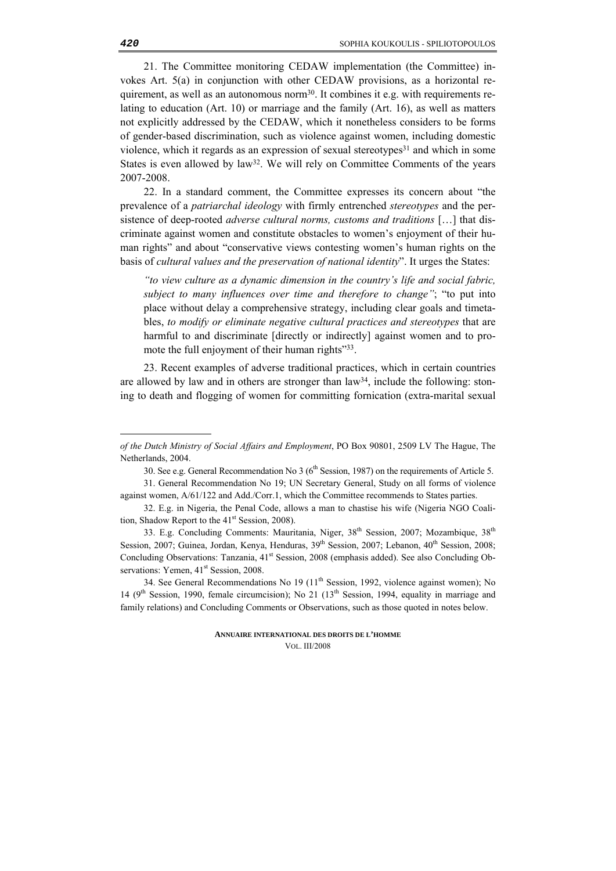21. The Committee monitoring CEDAW implementation (the Committee) invokes Art. 5(a) in conjunction with other CEDAW provisions, as a horizontal requirement, as well as an autonomous norm30. It combines it e.g. with requirements relating to education (Art. 10) or marriage and the family (Art. 16), as well as matters not explicitly addressed by the CEDAW, which it nonetheless considers to be forms of gender-based discrimination, such as violence against women, including domestic violence, which it regards as an expression of sexual stereotypes $31$  and which in some States is even allowed by law<sup>32</sup>. We will rely on Committee Comments of the years 2007-2008.

22. In a standard comment, the Committee expresses its concern about "the prevalence of a *patriarchal ideology* with firmly entrenched *stereotypes* and the persistence of deep-rooted *adverse cultural norms, customs and traditions* […] that discriminate against women and constitute obstacles to women's enjoyment of their human rights" and about "conservative views contesting women's human rights on the basis of *cultural values and the preservation of national identity*". It urges the States:

*"to view culture as a dynamic dimension in the country's life and social fabric, subject to many influences over time and therefore to change"*; "to put into place without delay a comprehensive strategy, including clear goals and timetables, *to modify or eliminate negative cultural practices and stereotypes* that are harmful to and discriminate [directly or indirectly] against women and to promote the full enjoyment of their human rights"<sup>33</sup>.

23. Recent examples of adverse traditional practices, which in certain countries are allowed by law and in others are stronger than law34, include the following: stoning to death and flogging of women for committing fornication (extra-marital sexual

*of the Dutch Ministry of Social Affairs and Employment*, PO Box 90801, 2509 LV The Hague, The Netherlands, 2004.

<sup>30.</sup> See e.g. General Recommendation No  $3(6<sup>th</sup> S<sub>e</sub>)$  Session, 1987) on the requirements of Article 5.

<sup>31.</sup> General Recommendation No 19; UN Secretary General, Study on all forms of violence against women, A/61/122 and Add./Corr.1, which the Committee recommends to States parties.

<sup>32.</sup> E.g. in Nigeria, the Penal Code, allows a man to chastise his wife (Nigeria NGO Coalition, Shadow Report to the  $41<sup>st</sup>$  Session, 2008).

<sup>33.</sup> E.g. Concluding Comments: Mauritania, Niger, 38<sup>th</sup> Session, 2007; Mozambique, 38<sup>th</sup> Session, 2007; Guinea, Jordan, Kenya, Henduras, 39<sup>th</sup> Session, 2007; Lebanon, 40<sup>th</sup> Session, 2008; Concluding Observations: Tanzania, 41<sup>st</sup> Session, 2008 (emphasis added). See also Concluding Observations: Yemen,  $41<sup>st</sup>$  Session, 2008.

<sup>34.</sup> See General Recommendations No 19 (11<sup>th</sup> Session, 1992, violence against women); No 14 ( $9<sup>th</sup> Session, 1990$ , female circumcision); No 21 ( $13<sup>th</sup> Session, 1994$ , equality in marriage and family relations) and Concluding Comments or Observations, such as those quoted in notes below.

**ANNUAIRE INTERNATIONAL DES DROITS DE L'HOMME** VOL. III/2008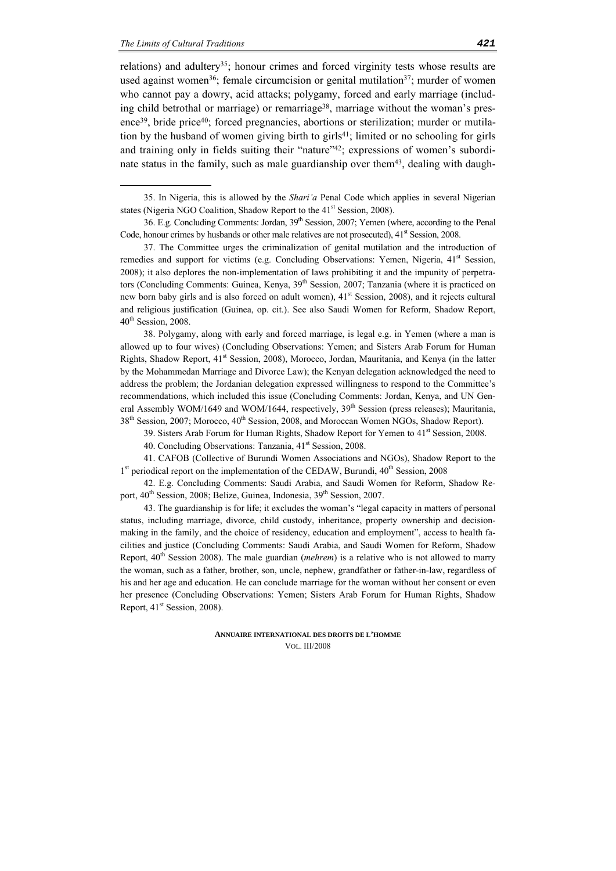-

relations) and adultery35; honour crimes and forced virginity tests whose results are used against women<sup>36</sup>; female circumcision or genital mutilation<sup>37</sup>; murder of women who cannot pay a dowry, acid attacks; polygamy, forced and early marriage (including child betrothal or marriage) or remarriage<sup>38</sup>, marriage without the woman's presence39, bride price40; forced pregnancies, abortions or sterilization; murder or mutilation by the husband of women giving birth to girls41; limited or no schooling for girls and training only in fields suiting their "nature"<sup>42</sup>; expressions of women's subordinate status in the family, such as male guardianship over them<sup>43</sup>, dealing with daugh-

35. In Nigeria, this is allowed by the *Shari'a* Penal Code which applies in several Nigerian states (Nigeria NGO Coalition, Shadow Report to the 41<sup>st</sup> Session, 2008).

36. E.g. Concluding Comments: Jordan, 39<sup>th</sup> Session, 2007; Yemen (where, according to the Penal Code, honour crimes by husbands or other male relatives are not prosecuted),  $41<sup>st</sup>$  Session, 2008.

37. The Committee urges the criminalization of genital mutilation and the introduction of remedies and support for victims (e.g. Concluding Observations: Yemen, Nigeria,  $41<sup>st</sup>$  Session, 2008); it also deplores the non-implementation of laws prohibiting it and the impunity of perpetrators (Concluding Comments: Guinea, Kenya, 39<sup>th</sup> Session, 2007; Tanzania (where it is practiced on new born baby girls and is also forced on adult women), 41<sup>st</sup> Session, 2008), and it rejects cultural and religious justification (Guinea, op. cit.). See also Saudi Women for Reform, Shadow Report, 40<sup>th</sup> Session, 2008.

38. Polygamy, along with early and forced marriage, is legal e.g. in Yemen (where a man is allowed up to four wives) (Concluding Observations: Yemen; and Sisters Arab Forum for Human Rights, Shadow Report, 41<sup>st</sup> Session, 2008), Morocco, Jordan, Mauritania, and Kenya (in the latter by the Mohammedan Marriage and Divorce Law); the Kenyan delegation acknowledged the need to address the problem; the Jordanian delegation expressed willingness to respond to the Committee's recommendations, which included this issue (Concluding Comments: Jordan, Kenya, and UN General Assembly WOM/1649 and WOM/1644, respectively,  $39<sup>th</sup>$  Session (press releases); Mauritania,  $38<sup>th</sup>$  Session, 2007; Morocco,  $40<sup>th</sup>$  Session, 2008, and Moroccan Women NGOs, Shadow Report).

39. Sisters Arab Forum for Human Rights, Shadow Report for Yemen to  $41<sup>st</sup>$  Session, 2008.

40. Concluding Observations: Tanzania, 41<sup>st</sup> Session, 2008.

41. CAFOB (Collective of Burundi Women Associations and NGOs), Shadow Report to the  $1<sup>st</sup>$  periodical report on the implementation of the CEDAW, Burundi,  $40<sup>th</sup>$  Session, 2008

42. E.g. Concluding Comments: Saudi Arabia, and Saudi Women for Reform, Shadow Report,  $40^{th}$  Session, 2008; Belize, Guinea, Indonesia,  $39^{th}$  Session, 2007.

43. The guardianship is for life; it excludes the woman's "legal capacity in matters of personal status, including marriage, divorce, child custody, inheritance, property ownership and decisionmaking in the family, and the choice of residency, education and employment", access to health facilities and justice (Concluding Comments: Saudi Arabia, and Saudi Women for Reform, Shadow Report, 40<sup>th</sup> Session 2008). The male guardian *(mehrem)* is a relative who is not allowed to marry the woman, such as a father, brother, son, uncle, nephew, grandfather or father-in-law, regardless of his and her age and education. He can conclude marriage for the woman without her consent or even her presence (Concluding Observations: Yemen; Sisters Arab Forum for Human Rights, Shadow Report,  $41<sup>st</sup>$  Session, 2008).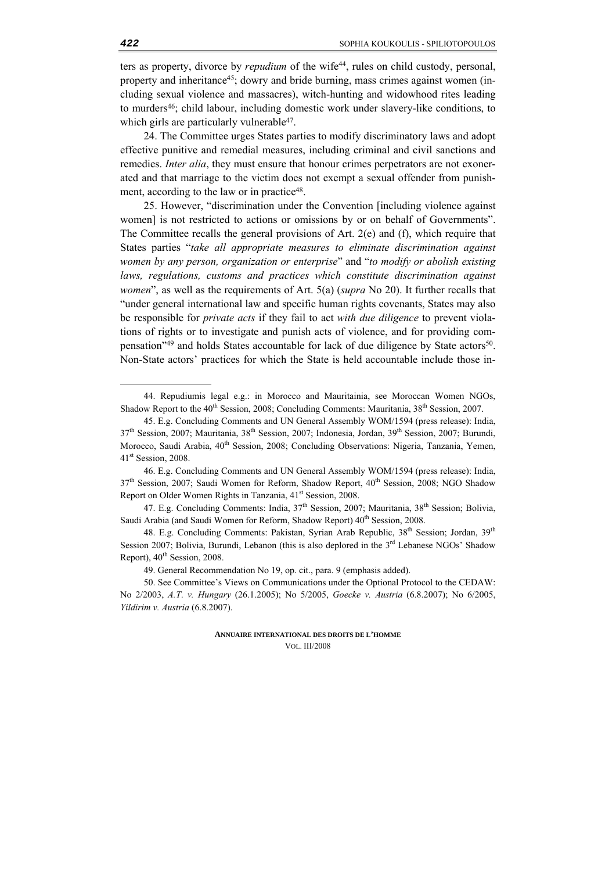ters as property, divorce by *repudium* of the wife44, rules on child custody, personal, property and inheritance<sup>45</sup>; dowry and bride burning, mass crimes against women (including sexual violence and massacres), witch-hunting and widowhood rites leading to murders46; child labour, including domestic work under slavery-like conditions, to which girls are particularly vulnerable<sup>47</sup>.

24. The Committee urges States parties to modify discriminatory laws and adopt effective punitive and remedial measures, including criminal and civil sanctions and remedies. *Inter alia*, they must ensure that honour crimes perpetrators are not exonerated and that marriage to the victim does not exempt a sexual offender from punishment, according to the law or in practice<sup>48</sup>.

25. However, "discrimination under the Convention [including violence against women] is not restricted to actions or omissions by or on behalf of Governments". The Committee recalls the general provisions of Art. 2(e) and (f), which require that States parties "*take all appropriate measures to eliminate discrimination against women by any person, organization or enterprise*" and "*to modify or abolish existing*  laws, regulations, customs and practices which constitute discrimination against *women*", as well as the requirements of Art. 5(a) (*supra* No 20). It further recalls that "under general international law and specific human rights covenants, States may also be responsible for *private acts* if they fail to act *with due diligence* to prevent violations of rights or to investigate and punish acts of violence, and for providing compensation"49 and holds States accountable for lack of due diligence by State actors50. Νon-State actors' practices for which the State is held accountable include those in-

47. E.g. Concluding Comments: India,  $37<sup>th</sup>$  Session, 2007; Mauritania,  $38<sup>th</sup>$  Session; Bolivia, Saudi Arabia (and Saudi Women for Reform, Shadow Report) 40<sup>th</sup> Session, 2008.

<sup>44.</sup> Repudiumis legal e.g.: in Morocco and Mauritainia, see Moroccan Women NGOs, Shadow Report to the 40<sup>th</sup> Session, 2008; Concluding Comments: Mauritania, 38<sup>th</sup> Session, 2007.

<sup>45.</sup> E.g. Concluding Comments and UN General Assembly WOM/1594 (press release): India, 37th Session, 2007; Mauritania, 38th Session, 2007; Indonesia, Jordan, 39th Session, 2007; Burundi, Morocco, Saudi Arabia, 40<sup>th</sup> Session, 2008; Concluding Observations: Nigeria, Tanzania, Yemen, 41<sup>st</sup> Session, 2008.

<sup>46.</sup> E.g. Concluding Comments and UN General Assembly WOM/1594 (press release): India, 37<sup>th</sup> Session, 2007; Saudi Women for Reform, Shadow Report, 40<sup>th</sup> Session, 2008; NGO Shadow Report on Older Women Rights in Tanzania, 41<sup>st</sup> Session, 2008.

<sup>48.</sup> E.g. Concluding Comments: Pakistan, Syrian Arab Republic, 38<sup>th</sup> Session; Jordan, 39<sup>th</sup> Session 2007; Bolivia, Burundi, Lebanon (this is also deplored in the 3<sup>rd</sup> Lebanese NGOs' Shadow Report),  $40^{th}$  Session, 2008.

<sup>49.</sup> General Recommendation No 19, op. cit., para. 9 (emphasis added).

<sup>50.</sup> See Committee's Views on Communications under the Optional Protocol to the CEDAW: No 2/2003, *A.T*. *v. Hungary* (26.1.2005); No 5/2005, *Goecke v. Austria* (6.8.2007); No 6/2005, *Yildirim v. Austria* (6.8.2007).

**ANNUAIRE INTERNATIONAL DES DROITS DE L'HOMME** VOL. III/2008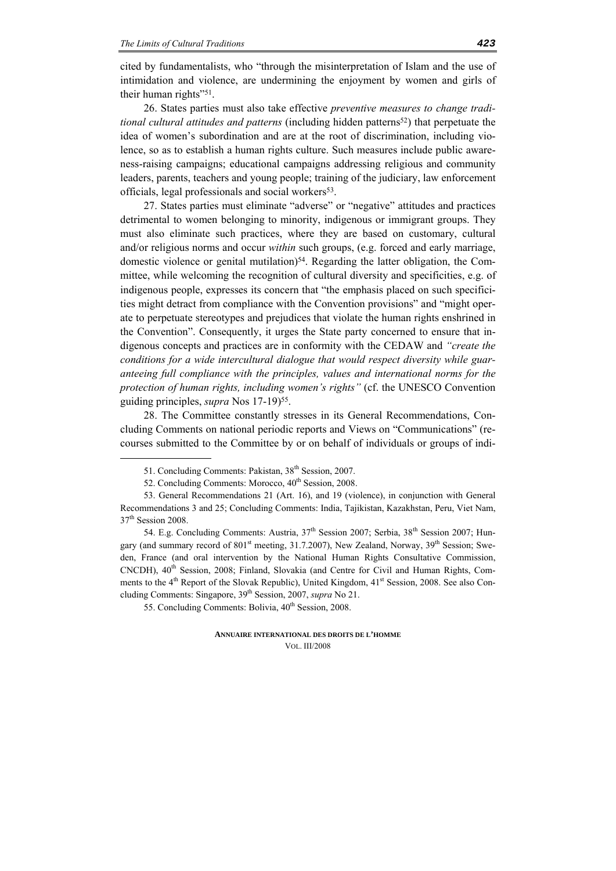cited by fundamentalists, who "through the misinterpretation of Islam and the use of intimidation and violence, are undermining the enjoyment by women and girls of their human rights"<sup>51</sup>.

26. States parties must also take effective *preventive measures to change traditional cultural attitudes and patterns* (including hidden patterns<sup>52</sup>) that perpetuate the idea of women's subordination and are at the root of discrimination, including violence, so as to establish a human rights culture. Such measures include public awareness-raising campaigns; educational campaigns addressing religious and community leaders, parents, teachers and young people; training of the judiciary, law enforcement officials, legal professionals and social workers<sup>53</sup>.

27. States parties must eliminate "adverse" or "negative" attitudes and practices detrimental to women belonging to minority, indigenous or immigrant groups. They must also eliminate such practices, where they are based on customary, cultural and/or religious norms and occur *within* such groups, (e.g. forced and early marriage, domestic violence or genital mutilation)<sup>54</sup>. Regarding the latter obligation, the Committee, while welcoming the recognition of cultural diversity and specificities, e.g. of indigenous people, expresses its concern that "the emphasis placed on such specificities might detract from compliance with the Convention provisions" and "might operate to perpetuate stereotypes and prejudices that violate the human rights enshrined in the Convention". Consequently, it urges the State party concerned to ensure that indigenous concepts and practices are in conformity with the CEDAW and *"create the conditions for a wide intercultural dialogue that would respect diversity while guaranteeing full compliance with the principles, values and international norms for the protection of human rights, including women's rights"* (cf. the UNESCO Convention guiding principles, *supra* Nos 17-19)<sup>55</sup>.

28. The Committee constantly stresses in its General Recommendations, Concluding Comments on national periodic reports and Views on "Communications" (recourses submitted to the Committee by or on behalf of individuals or groups of indi-

<u>.</u>

54. E.g. Concluding Comments: Austria,  $37<sup>th</sup>$  Session 2007; Serbia,  $38<sup>th</sup>$  Session 2007; Hungary (and summary record of  $801<sup>st</sup>$  meeting, 31.7.2007), New Zealand, Norway, 39<sup>th</sup> Session; Sweden, France (and oral intervention by the National Human Rights Consultative Commission, CNCDH), 40<sup>th</sup> Session, 2008; Finland, Slovakia (and Centre for Civil and Human Rights, Comments to the  $4<sup>th</sup>$  Report of the Slovak Republic), United Kingdom,  $41<sup>st</sup>$  Session, 2008. See also Concluding Comments: Singapore, 39th Session, 2007, *supra* No 21.

<sup>51.</sup> Concluding Comments: Pakistan, 38th Session, 2007.

<sup>52.</sup> Concluding Comments: Morocco, 40<sup>th</sup> Session, 2008.

<sup>53.</sup> General Recommendations 21 (Art. 16), and 19 (violence), in conjunction with General Recommendations 3 and 25; Concluding Comments: India, Tajikistan, Kazakhstan, Peru, Viet Nam, 37<sup>th</sup> Session 2008.

<sup>55.</sup> Concluding Comments: Bolivia,  $40^{th}$  Session, 2008.

**ANNUAIRE INTERNATIONAL DES DROITS DE L'HOMME** VOL. III/2008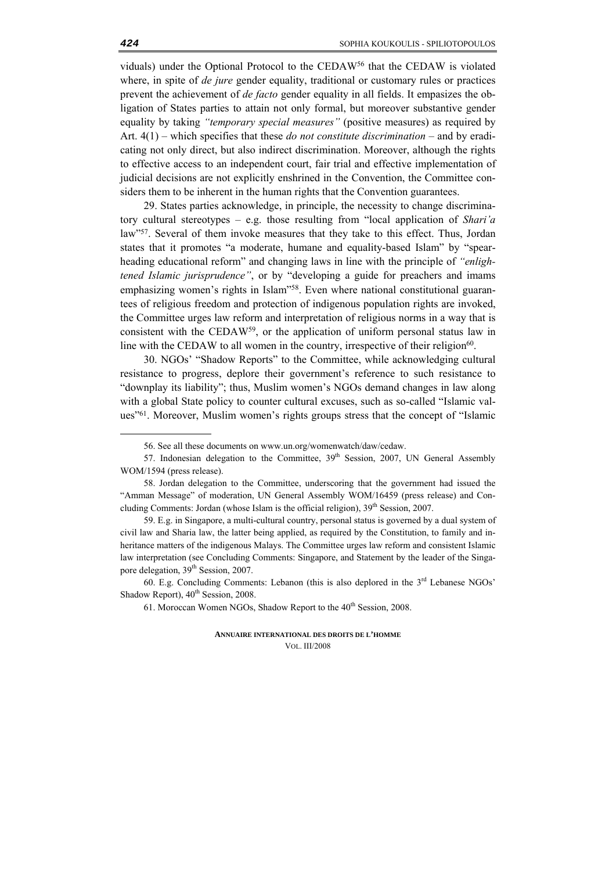viduals) under the Optional Protocol to the CEDAW56 that the CEDAW is violated where, in spite of *de jure* gender equality, traditional or customary rules or practices prevent the achievement of *de facto* gender equality in all fields. It empasizes the obligation of States parties to attain not only formal, but moreover substantive gender equality by taking *"temporary special measures"* (positive measures) as required by Art. 4(1) – which specifies that these *do not constitute discrimination* – and by eradicating not only direct, but also indirect discrimination. Moreover, although the rights to effective access to an independent court, fair trial and effective implementation of judicial decisions are not explicitly enshrined in the Convention, the Committee considers them to be inherent in the human rights that the Convention guarantees.

29. States parties acknowledge, in principle, the necessity to change discriminatory cultural stereotypes – e.g. those resulting from "local application of *Shari'a*  law"57. Several of them invoke measures that they take to this effect. Thus, Jordan states that it promotes "a moderate, humane and equality-based Islam" by "spearheading educational reform" and changing laws in line with the principle of *"enlightened Islamic jurisprudence"*, or by "developing a guide for preachers and imams emphasizing women's rights in Islam"58. Even where national constitutional guarantees of religious freedom and protection of indigenous population rights are invoked, the Committee urges law reform and interpretation of religious norms in a way that is consistent with the CEDAW59, or the application of uniform personal status law in line with the CEDAW to all women in the country, irrespective of their religion<sup>60</sup>.

30. NGOs' "Shadow Reports" to the Committee, while acknowledging cultural resistance to progress, deplore their government's reference to such resistance to "downplay its liability"; thus, Muslim women's NGOs demand changes in law along with a global State policy to counter cultural excuses, such as so-called "Islamic values"61. Moreover, Muslim women's rights groups stress that the concept of "Islamic

<sup>56.</sup> See all these documents on www.un.org/womenwatch/daw/cedaw.

<sup>57.</sup> Indonesian delegation to the Committee, 39<sup>th</sup> Session, 2007, UN General Assembly WOM/1594 (press release).

<sup>58.</sup> Jordan delegation to the Committee, underscoring that the government had issued the "Amman Message" of moderation, UN General Assembly WOM/16459 (press release) and Concluding Comments: Jordan (whose Islam is the official religion),  $39<sup>th</sup>$  Session, 2007.

<sup>59.</sup> E.g. in Singapore, a multi-cultural country, personal status is governed by a dual system of civil law and Sharia law, the latter being applied, as required by the Constitution, to family and inheritance matters of the indigenous Malays. The Committee urges law reform and consistent Islamic law interpretation (see Concluding Comments: Singapore, and Statement by the leader of the Singapore delegation, 39<sup>th</sup> Session, 2007.

<sup>60.</sup> E.g. Concluding Comments: Lebanon (this is also deplored in the  $3<sup>rd</sup>$  Lebanese NGOs' Shadow Report),  $40^{th}$  Session, 2008.

<sup>61.</sup> Moroccan Women NGOs, Shadow Report to the  $40<sup>th</sup>$  Session, 2008.

**ANNUAIRE INTERNATIONAL DES DROITS DE L'HOMME** VOL. III/2008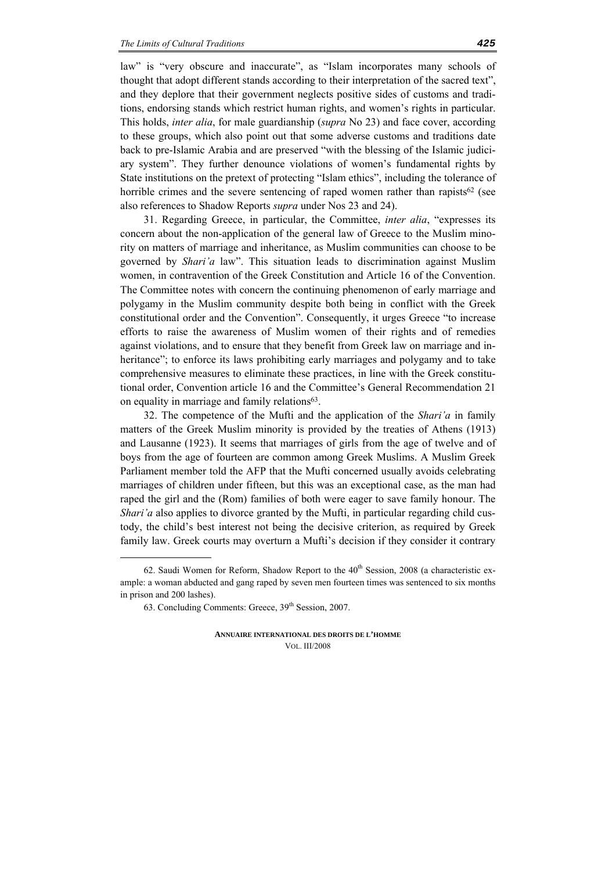law" is "very obscure and inaccurate", as "Islam incorporates many schools of thought that adopt different stands according to their interpretation of the sacred text", and they deplore that their government neglects positive sides of customs and traditions, endorsing stands which restrict human rights, and women's rights in particular. This holds, *inter alia*, for male guardianship (*supra* No 23) and face cover, according to these groups, which also point out that some adverse customs and traditions date back to pre-Islamic Arabia and are preserved "with the blessing of the Islamic judiciary system". They further denounce violations of women's fundamental rights by State institutions on the pretext of protecting "Islam ethics", including the tolerance of horrible crimes and the severe sentencing of raped women rather than rapists $62$  (see also references to Shadow Reports *supra* under Nos 23 and 24).

31. Regarding Greece, in particular, the Committee, *inter alia*, "expresses its concern about the non-application of the general law of Greece to the Muslim minority on matters of marriage and inheritance, as Muslim communities can choose to be governed by *Shari'a* law". This situation leads to discrimination against Muslim women, in contravention of the Greek Constitution and Article 16 of the Convention. The Committee notes with concern the continuing phenomenon of early marriage and polygamy in the Muslim community despite both being in conflict with the Greek constitutional order and the Convention". Consequently, it urges Greece "to increase efforts to raise the awareness of Muslim women of their rights and of remedies against violations, and to ensure that they benefit from Greek law on marriage and inheritance"; to enforce its laws prohibiting early marriages and polygamy and to take comprehensive measures to eliminate these practices, in line with the Greek constitutional order, Convention article 16 and the Committee's General Recommendation 21 on equality in marriage and family relations<sup>63</sup>.

32. The competence of the Mufti and the application of the *Shari'a* in family matters of the Greek Muslim minority is provided by the treaties of Athens (1913) and Lausanne (1923). It seems that marriages of girls from the age of twelve and of boys from the age of fourteen are common among Greek Muslims. A Muslim Greek Parliament member told the AFP that the Mufti concerned usually avoids celebrating marriages of children under fifteen, but this was an exceptional case, as the man had raped the girl and the (Rom) families of both were eager to save family honour. The *Shari'a* also applies to divorce granted by the Mufti, in particular regarding child custody, the child's best interest not being the decisive criterion, as required by Greek family law. Greek courts may overturn a Mufti's decision if they consider it contrary

<u>.</u>

<sup>62.</sup> Saudi Women for Reform, Shadow Report to the  $40<sup>th</sup>$  Session, 2008 (a characteristic example: a woman abducted and gang raped by seven men fourteen times was sentenced to six months in prison and 200 lashes).

<sup>63.</sup> Concluding Comments: Greece,  $39<sup>th</sup>$  Session, 2007.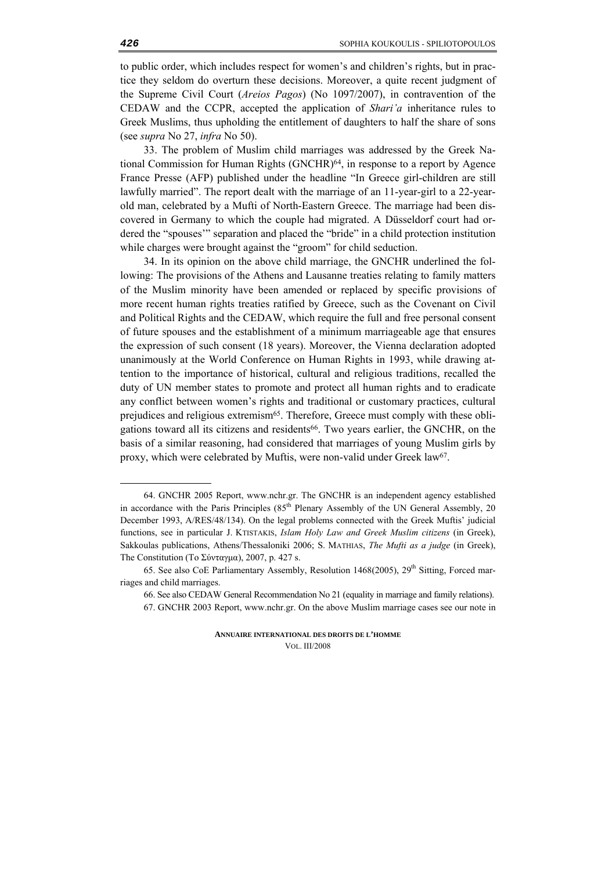to public order, which includes respect for women's and children's rights, but in practice they seldom do overturn these decisions. Moreover, a quite recent judgment of the Supreme Civil Court (*Areios Pagos*) (No 1097/2007), in contravention of the CEDAW and the CCPR, accepted the application of *Shari'a* inheritance rules to Greek Muslims, thus upholding the entitlement of daughters to half the share of sons (see *supra* No 27, *infra* No 50).

33. The problem of Muslim child marriages was addressed by the Greek National Commission for Human Rights (GNCHR)<sup>64</sup>, in response to a report by Agence France Presse (AFP) published under the headline "In Greece girl-children are still lawfully married". The report dealt with the marriage of an 11-year-girl to a 22-yearold man, celebrated by a Mufti of North-Eastern Greece. The marriage had been discovered in Germany to which the couple had migrated. A Düsseldorf court had ordered the "spouses'" separation and placed the "bride" in a child protection institution while charges were brought against the "groom" for child seduction.

34. In its opinion on the above child marriage, the GNCHR underlined the following: The provisions of the Athens and Lausanne treaties relating to family matters of the Muslim minority have been amended or replaced by specific provisions of more recent human rights treaties ratified by Greece, such as the Covenant on Civil and Political Rights and the CEDAW, which require the full and free personal consent of future spouses and the establishment of a minimum marriageable age that ensures the expression of such consent (18 years). Moreover, the Vienna declaration adopted unanimously at the World Conference on Human Rights in 1993, while drawing attention to the importance of historical, cultural and religious traditions, recalled the duty of UN member states to promote and protect all human rights and to eradicate any conflict between women's rights and traditional or customary practices, cultural prejudices and religious extremism65. Therefore, Greece must comply with these obligations toward all its citizens and residents<sup>66</sup>. Two years earlier, the GNCHR, on the basis of a similar reasoning, had considered that marriages of young Muslim girls by proxy, which were celebrated by Muftis, were non-valid under Greek law<sup>67</sup>.

<u>.</u>

<sup>64.</sup> GNCHR 2005 Report, www.nchr.gr. The GNCHR is an independent agency established in accordance with the Paris Principles  $(85<sup>th</sup>$  Plenary Assembly of the UN General Assembly, 20 December 1993, A/RES/48/134). Οn the legal problems connected with the Greek Muftis' judicial functions, see in particular J. KTISTAKIS, *Islam Holy Law and Greek Muslim citizens* (in Greek), Sakkoulas publications, Athens/Thessaloniki 2006; S. MATHIAS, *The Mufti as a judge* (in Greek), The Constitution (Το Σύνταγμα), 2007, p. 427 s.

<sup>65.</sup> See also CoE Parliamentary Assembly, Resolution 1468(2005),  $29<sup>th</sup>$  Sitting, Forced marriages and child marriages.

<sup>66.</sup> See also CEDAW General Recommendation No 21 (equality in marriage and family relations).

<sup>67.</sup> GNCHR 2003 Report, www.nchr.gr. Οn the above Muslim marriage cases see our note in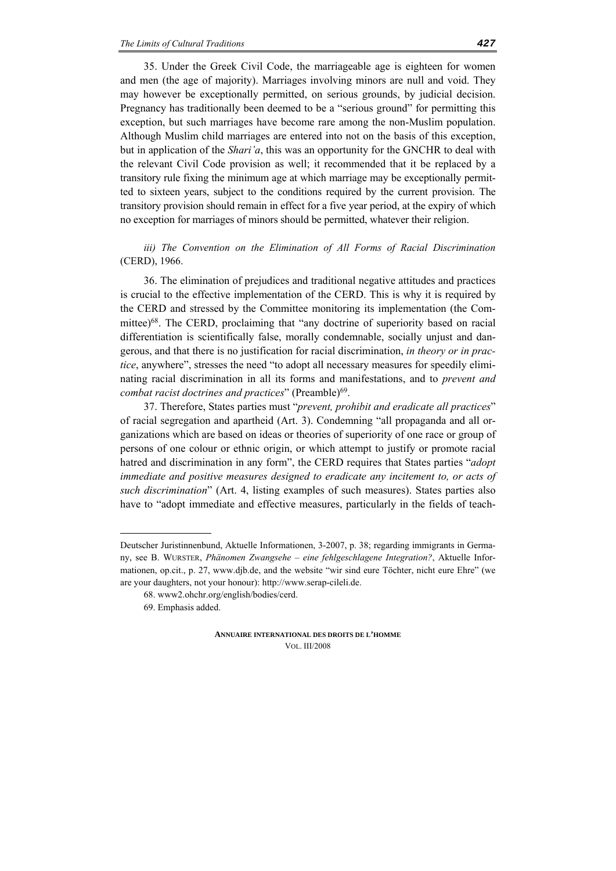35. Under the Greek Civil Code, the marriageable age is eighteen for women and men (the age of majority). Marriages involving minors are null and void. They may however be exceptionally permitted, on serious grounds, by judicial decision. Pregnancy has traditionally been deemed to be a "serious ground" for permitting this exception, but such marriages have become rare among the non-Muslim population. Although Muslim child marriages are entered into not on the basis of this exception, but in application of the *Shari'a*, this was an opportunity for the GNCHR to deal with the relevant Civil Code provision as well; it recommended that it be replaced by a transitory rule fixing the minimum age at which marriage may be exceptionally permitted to sixteen years, subject to the conditions required by the current provision. The transitory provision should remain in effect for a five year period, at the expiry of which no exception for marriages of minors should be permitted, whatever their religion.

*iii)* The Convention on the Elimination of All Forms of Racial Discrimination (CERD), 1966.

36. The elimination of prejudices and traditional negative attitudes and practices is crucial to the effective implementation of the CERD. This is why it is required by the CERD and stressed by the Committee monitoring its implementation (the Committee)68. The CERD, proclaiming that "any doctrine of superiority based on racial differentiation is scientifically false, morally condemnable, socially unjust and dangerous, and that there is no justification for racial discrimination, *in theory or in practice*, anywhere", stresses the need "to adopt all necessary measures for speedily eliminating racial discrimination in all its forms and manifestations, and to *prevent and combat racist doctrines and practices*" (Preamble)<sup>69</sup>.

37. Therefore, States parties must "*prevent, prohibit and eradicate all practices*" of racial segregation and apartheid (Art. 3). Condemning "all propaganda and all organizations which are based on ideas or theories of superiority of one race or group of persons of one colour or ethnic origin, or which attempt to justify or promote racial hatred and discrimination in any form", the CERD requires that States parties "*adopt immediate and positive measures designed to eradicate any incitement to, or acts of such discrimination*" (Art. 4, listing examples of such measures). States parties also have to "adopt immediate and effective measures, particularly in the fields of teach-

<u>.</u>

Deutscher Juristinnenbund, Aktuelle Informationen, 3-2007, p. 38; regarding immigrants in Germany, see B. WURSTER, *Phänomen Zwangsehe – eine fehlgeschlagene Integration?*, Aktuelle Informationen, op.cit., p. 27, www.djb.de, and the website "wir sind eure Töchter, nicht eure Ehre" (we are your daughters, not your honour): http://www.serap-cileli.de.

<sup>68.</sup> www2.ohchr.org/english/bodies/cerd.

<sup>69.</sup> Emphasis added.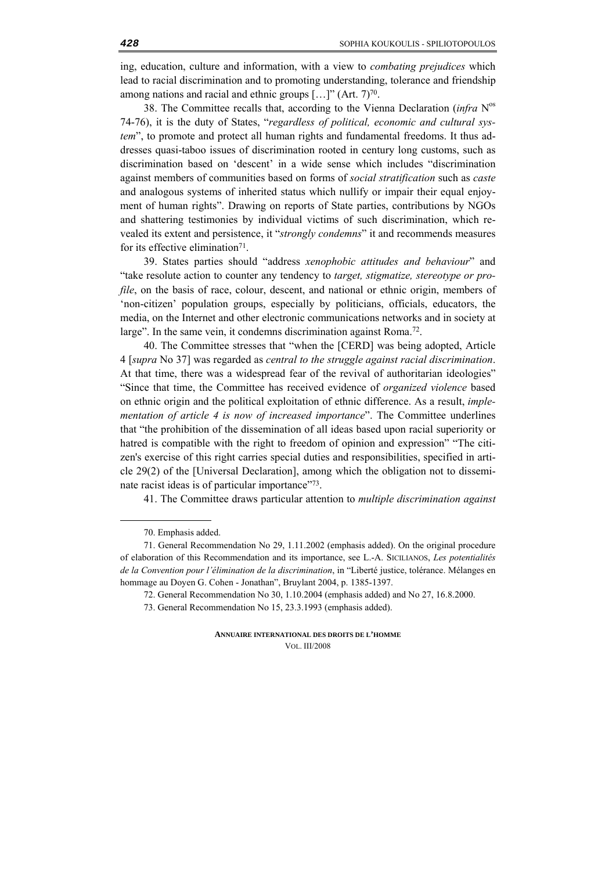ing, education, culture and information, with a view to *combating prejudices* which lead to racial discrimination and to promoting understanding, tolerance and friendship among nations and racial and ethnic groups  $[\dots]$ " (Art. 7)<sup>70</sup>.

38. The Committee recalls that, according to the Vienna Declaration (*infra* Nos 74-76), it is the duty of States, "*regardless of political, economic and cultural system*", to promote and protect all human rights and fundamental freedoms. It thus addresses quasi-taboo issues of discrimination rooted in century long customs, such as discrimination based on 'descent' in a wide sense which includes "discrimination against members of communities based on forms of *social stratification* such as *caste* and analogous systems of inherited status which nullify or impair their equal enjoyment of human rights". Drawing on reports of State parties, contributions by NGOs and shattering testimonies by individual victims of such discrimination, which revealed its extent and persistence, it "*strongly condemns*" it and recommends measures for its effective elimination<sup>71</sup>.

39. States parties should "address *xenophobic attitudes and behaviour*" and "take resolute action to counter any tendency to *target, stigmatize, stereotype or profile*, on the basis of race, colour, descent, and national or ethnic origin, members of 'non-citizen' population groups, especially by politicians, officials, educators, the media, on the Internet and other electronic communications networks and in society at large". In the same vein, it condemns discrimination against Roma.<sup>72</sup>.

40. The Committee stresses that "when the [CERD] was being adopted, Article 4 [*supra* No 37] was regarded as *central to the struggle against racial discrimination*. At that time, there was a widespread fear of the revival of authoritarian ideologies" "Since that time, the Committee has received evidence of *organized violence* based on ethnic origin and the political exploitation of ethnic difference. As a result, *implementation of article 4 is now of increased importance*". The Committee underlines that "the prohibition of the dissemination of all ideas based upon racial superiority or hatred is compatible with the right to freedom of opinion and expression" "The citizen's exercise of this right carries special duties and responsibilities, specified in article 29(2) of the [Universal Declaration], among which the obligation not to disseminate racist ideas is of particular importance"73.

41. The Committee draws particular attention to *multiple discrimination against* 

<sup>70.</sup> Emphasis added.

<sup>71.</sup> General Recommendation No 29, 1.11.2002 (emphasis added). On the original procedure of elaboration of this Recommendation and its importance, see L.-A. SICILIANOS, *Les potentialités de la Convention pour l'élimination de la discrimination*, in "Liberté justice, tolérance. Mélanges en hommage au Doyen G. Cohen - Jonathan", Bruylant 2004, p. 1385-1397.

<sup>72.</sup> General Recommendation No 30, 1.10.2004 (emphasis added) and No 27, 16.8.2000.

<sup>73.</sup> General Recommendation No 15, 23.3.1993 (emphasis added).

**ANNUAIRE INTERNATIONAL DES DROITS DE L'HOMME** VOL. III/2008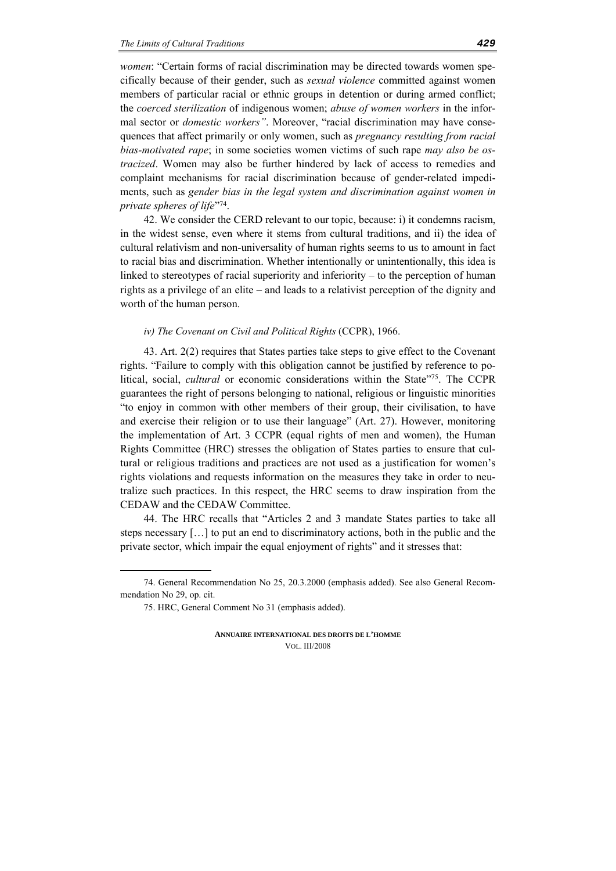*women*: "Certain forms of racial discrimination may be directed towards women specifically because of their gender, such as *sexual violence* committed against women members of particular racial or ethnic groups in detention or during armed conflict; the *coerced sterilization* of indigenous women; *abuse of women workers* in the informal sector or *domestic workers"*. Moreover, "racial discrimination may have consequences that affect primarily or only women, such as *pregnancy resulting from racial bias-motivated rape*; in some societies women victims of such rape *may also be ostracized*. Women may also be further hindered by lack of access to remedies and complaint mechanisms for racial discrimination because of gender-related impediments, such as *gender bias in the legal system and discrimination against women in private spheres of life*"74.

42. We consider the CERD relevant to our topic, because: i) it condemns racism, in the widest sense, even where it stems from cultural traditions, and ii) the idea of cultural relativism and non-universality of human rights seems to us to amount in fact to racial bias and discrimination. Whether intentionally or unintentionally, this idea is linked to stereotypes of racial superiority and inferiority – to the perception of human rights as a privilege of an elite – and leads to a relativist perception of the dignity and worth of the human person.

#### *iv) The Covenant on Civil and Political Rights* (CCPR), 1966.

43. Art. 2(2) requires that States parties take steps to give effect to the Covenant rights. "Failure to comply with this obligation cannot be justified by reference to political, social, *cultural* or economic considerations within the State"75. The CCPR guarantees the right of persons belonging to national, religious or linguistic minorities "to enjoy in common with other members of their group, their civilisation, to have and exercise their religion or to use their language" (Art. 27). However, monitoring the implementation of Art. 3 CCPR (equal rights of men and women), the Human Rights Committee (HRC) stresses the obligation of States parties to ensure that cultural or religious traditions and practices are not used as a justification for women's rights violations and requests information on the measures they take in order to neutralize such practices. In this respect, the HRC seems to draw inspiration from the CEDAW and the CEDAW Committee.

44. The HRC recalls that "Articles 2 and 3 mandate States parties to take all steps necessary […] to put an end to discriminatory actions, both in the public and the private sector, which impair the equal enjoyment of rights" and it stresses that:

<sup>74.</sup> General Recommendation No 25, 20.3.2000 (emphasis added). See also General Recommendation No 29, op. cit.

<sup>75.</sup> HRC, General Comment No 31 (emphasis added).

**ANNUAIRE INTERNATIONAL DES DROITS DE L'HOMME** VOL. III/2008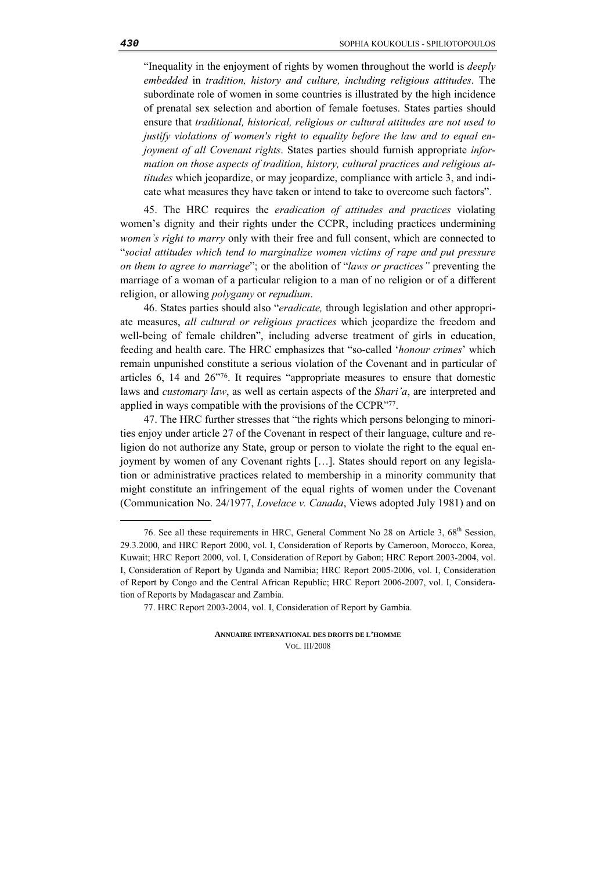"Inequality in the enjoyment of rights by women throughout the world is *deeply embedded* in *tradition, history and culture, including religious attitudes*. The subordinate role of women in some countries is illustrated by the high incidence of prenatal sex selection and abortion of female foetuses. States parties should ensure that *traditional, historical, religious or cultural attitudes are not used to justify violations of women's right to equality before the law and to equal enjoyment of all Covenant rights*. States parties should furnish appropriate *information on those aspects of tradition, history, cultural practices and religious attitudes* which jeopardize, or may jeopardize, compliance with article 3, and indicate what measures they have taken or intend to take to overcome such factors".

45. The HRC requires the *eradication of attitudes and practices* violating women's dignity and their rights under the CCPR, including practices undermining *women's right to marry* only with their free and full consent, which are connected to "*social attitudes which tend to marginalize women victims of rape and put pressure on them to agree to marriage*"; or the abolition of "*laws or practices"* preventing the marriage of a woman of a particular religion to a man of no religion or of a different religion, or allowing *polygamy* or *repudium*.

46. States parties should also "*eradicate,* through legislation and other appropriate measures, *all cultural or religious practices* which jeopardize the freedom and well-being of female children", including adverse treatment of girls in education, feeding and health care. The HRC emphasizes that "so-called '*honour crimes*' which remain unpunished constitute a serious violation of the Covenant and in particular of articles 6, 14 and 26"76. It requires "appropriate measures to ensure that domestic laws and *customary law*, as well as certain aspects of the *Shari'a*, are interpreted and applied in ways compatible with the provisions of the CCPR"77.

47. The HRC further stresses that "the rights which persons belonging to minorities enjoy under article 27 of the Covenant in respect of their language, culture and religion do not authorize any State, group or person to violate the right to the equal enjoyment by women of any Covenant rights […]. States should report on any legislation or administrative practices related to membership in a minority community that might constitute an infringement of the equal rights of women under the Covenant (Communication No. 24/1977, *Lovelace v. Canada*, Views adopted July 1981) and on

<sup>76.</sup> See all these requirements in HRC, General Comment No 28 on Article 3, 68<sup>th</sup> Session, 29.3.2000, and HRC Report 2000, vol. I, Consideration of Reports by Cameroon, Morocco, Korea, Kuwait; HRC Report 2000, vol. I, Consideration of Report by Gabon; HRC Report 2003-2004, vol. I, Consideration of Report by Uganda and Namibia; HRC Report 2005-2006, vol. I, Consideration of Report by Congo and the Central African Republic; HRC Report 2006-2007, vol. I, Consideration of Reports by Madagascar and Zambia.

<sup>77.</sup> HRC Report 2003-2004, vol. I, Consideration of Report by Gambia.

**ANNUAIRE INTERNATIONAL DES DROITS DE L'HOMME** VOL. III/2008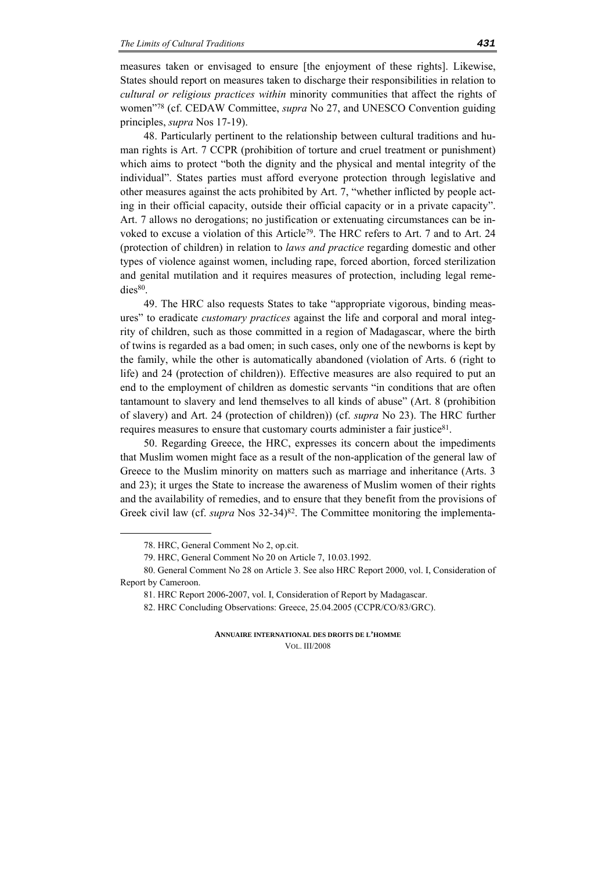measures taken or envisaged to ensure [the enjoyment of these rights]. Likewise, States should report on measures taken to discharge their responsibilities in relation to *cultural or religious practices within* minority communities that affect the rights of women"78 (cf. CEDAW Committee, *supra* No 27, and UNESCO Convention guiding principles, *supra* Nos 17-19).

48. Particularly pertinent to the relationship between cultural traditions and human rights is Art. 7 CCPR (prohibition of torture and cruel treatment or punishment) which aims to protect "both the dignity and the physical and mental integrity of the individual". States parties must afford everyone protection through legislative and other measures against the acts prohibited by Art. 7, "whether inflicted by people acting in their official capacity, outside their official capacity or in a private capacity". Art. 7 allows no derogations; no justification or extenuating circumstances can be invoked to excuse a violation of this Article<sup>79</sup>. The HRC refers to Art. 7 and to Art. 24 (protection of children) in relation to *laws and practice* regarding domestic and other types of violence against women, including rape, forced abortion, forced sterilization and genital mutilation and it requires measures of protection, including legal remedies<sup>80</sup>.

49. The HRC also requests States to take "appropriate vigorous, binding measures" to eradicate *customary practices* against the life and corporal and moral integrity of children, such as those committed in a region of Madagascar, where the birth of twins is regarded as a bad omen; in such cases, only one of the newborns is kept by the family, while the other is automatically abandoned (violation of Arts. 6 (right to life) and 24 (protection of children)). Effective measures are also required to put an end to the employment of children as domestic servants "in conditions that are often tantamount to slavery and lend themselves to all kinds of abuse" (Art. 8 (prohibition of slavery) and Art. 24 (protection of children)) (cf. *supra* No 23). The HRC further requires measures to ensure that customary courts administer a fair justice81.

50. Regarding Greece, the HRC, expresses its concern about the impediments that Muslim women might face as a result of the non-application of the general law of Greece to the Muslim minority on matters such as marriage and inheritance (Arts. 3 and 23); it urges the State to increase the awareness of Muslim women of their rights and the availability of remedies, and to ensure that they benefit from the provisions of Greek civil law (cf. *supra* Nos 32-34)<sup>82</sup>. The Committee monitoring the implementa-

<sup>78.</sup> HRC, General Comment No 2, op.cit.

<sup>79.</sup> HRC, General Comment No 20 on Article 7, 10.03.1992.

<sup>80.</sup> General Comment No 28 on Article 3. See also HRC Report 2000, vol. I, Consideration of Report by Cameroon.

<sup>81.</sup> HRC Report 2006-2007, vol. I, Consideration of Report by Madagascar.

<sup>82.</sup> HRC Concluding Observations: Greece, 25.04.2005 (CCPR/CO/83/GRC).

**ANNUAIRE INTERNATIONAL DES DROITS DE L'HOMME** VOL. III/2008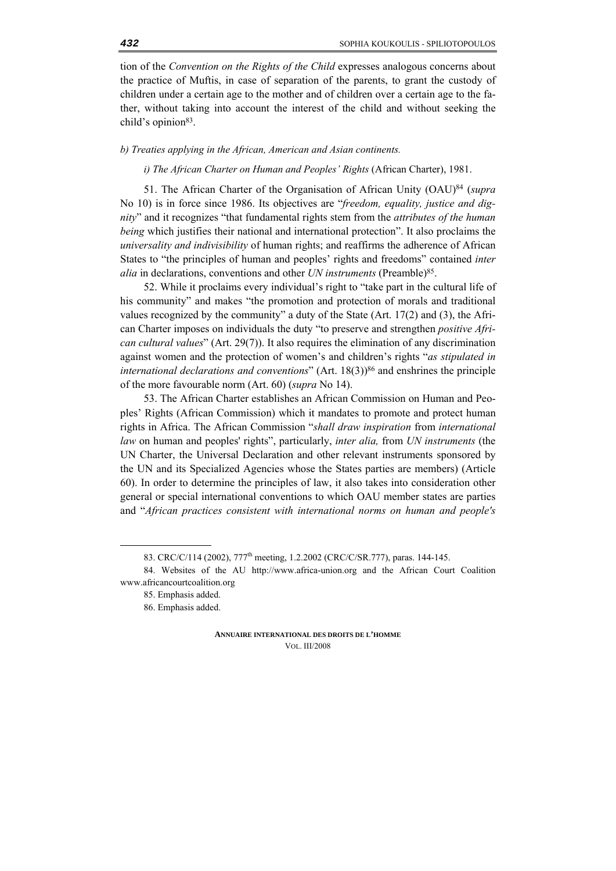tion of the *Convention on the Rights of the Child* expresses analogous concerns about the practice of Muftis, in case of separation of the parents, to grant the custody of children under a certain age to the mother and of children over a certain age to the father, without taking into account the interest of the child and without seeking the child's opinion<sup>83</sup>.

#### *b) Treaties applying in the African, American and Asian continents.*

*i) The African Charter on Human and Peoples' Rights* (African Charter), 1981.

51. The African Charter of the Organisation of African Unity (OAU)84 (*supra* No 10) is in force since 1986. Its objectives are "*freedom, equality, justice and dignity*" and it recognizes "that fundamental rights stem from the *attributes of the human being* which justifies their national and international protection". It also proclaims the *universality and indivisibility* of human rights; and reaffirms the adherence of African States to "the principles of human and peoples' rights and freedoms" contained *inter alia* in declarations, conventions and other *UN instruments* (Preamble)<sup>85</sup>.

52. While it proclaims every individual's right to "take part in the cultural life of his community" and makes "the promotion and protection of morals and traditional values recognized by the community" a duty of the State (Art. 17(2) and (3), the African Charter imposes on individuals the duty "to preserve and strengthen *positive African cultural values*" (Art. 29(7)). It also requires the elimination of any discrimination against women and the protection of women's and children's rights "*as stipulated in international declarations and conventions*" (Art. 18(3))<sup>86</sup> and enshrines the principle of the more favourable norm (Art. 60) (*supra* No 14).

53. The African Charter establishes an African Commission on Human and Peoples' Rights (African Commission) which it mandates to promote and protect human rights in Africa. The African Commission "*shall draw inspiration* from *international law* on human and peoples' rights", particularly, *inter alia,* from *UN instruments* (the UN Charter, the Universal Declaration and other relevant instruments sponsored by the UN and its Specialized Agencies whose the States parties are members) (Article 60). In order to determine the principles of law, it also takes into consideration other general or special international conventions to which OAU member states are parties and "*African practices consistent with international norms on human and people's* 

<sup>83.</sup> CRC/C/114 (2002), 777<sup>th</sup> meeting, 1.2.2002 (CRC/C/SR.777), paras. 144-145.

<sup>84.</sup> Websites of the AU http://www.africa-union.org and the African Court Coalition www.africancourtcoalition.org

<sup>85.</sup> Emphasis added.

<sup>86.</sup> Emphasis added.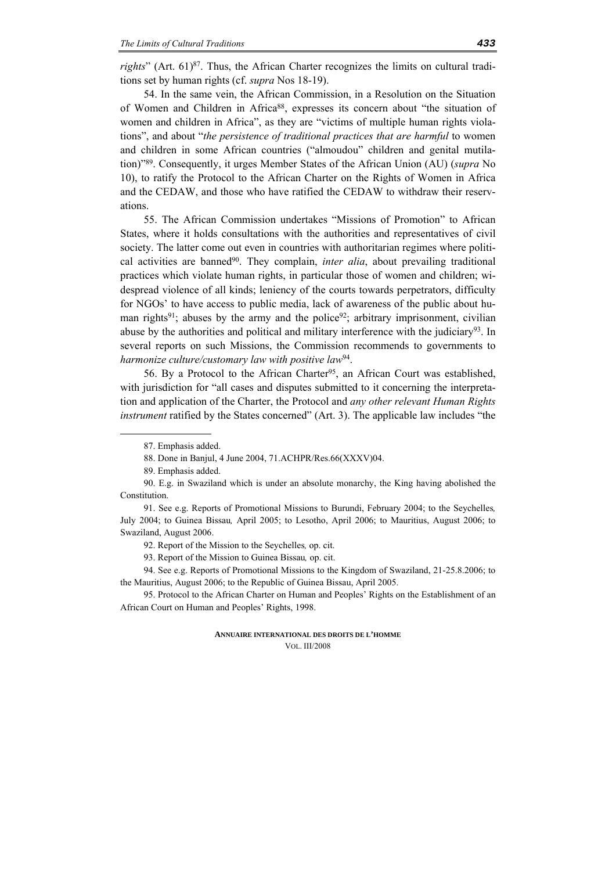*rights*" (Art. 61)<sup>87</sup>. Thus, the African Charter recognizes the limits on cultural traditions set by human rights (cf. *supra* Nos 18-19).

54. In the same vein, the African Commission, in a Resolution on the Situation of Women and Children in Africa<sup>88</sup>, expresses its concern about "the situation of women and children in Africa", as they are "victims of multiple human rights violations", and about "*the persistence of traditional practices that are harmful* to women and children in some African countries ("almoudou" children and genital mutilation)"89. Consequently, it urges Member States of the African Union (AU) (*supra* No 10), to ratify the Protocol to the African Charter on the Rights of Women in Africa and the CEDAW, and those who have ratified the CEDAW to withdraw their reservations.

55. The African Commission undertakes "Missions of Promotion" to African States, where it holds consultations with the authorities and representatives of civil society. The latter come out even in countries with authoritarian regimes where political activities are banned90. They complain, *inter alia*, about prevailing traditional practices which violate human rights, in particular those of women and children; widespread violence of all kinds; leniency of the courts towards perpetrators, difficulty for NGOs' to have access to public media, lack of awareness of the public about human rights<sup>91</sup>; abuses by the army and the police<sup>92</sup>; arbitrary imprisonment, civilian abuse by the authorities and political and military interference with the judiciary<sup>93</sup>. In several reports on such Missions, the Commission recommends to governments to *harmonize culture/customary law with positive law*94.

56. By a Protocol to the African Charter<sup>95</sup>, an African Court was established, with jurisdiction for "all cases and disputes submitted to it concerning the interpretation and application of the Charter, the Protocol and *any other relevant Human Rights instrument* ratified by the States concerned" (Art. 3). The applicable law includes "the

<sup>87.</sup> Emphasis added.

<sup>88.</sup> Done in Banjul, 4 June 2004, 71.ACHPR/Res.66(XXXV)04.

<sup>89.</sup> Emphasis added.

<sup>90.</sup> E.g. in Swaziland which is under an absolute monarchy, the King having abolished the Constitution.

<sup>91.</sup> See e.g. Reports of Promotional Missions to Burundi, February 2004; to the Seychelles*,*  July 2004; to Guinea Bissau*,* April 2005; to Lesotho, April 2006; to Mauritius, August 2006; to Swaziland, August 2006.

<sup>92.</sup> Report of the Mission to the Seychelles*,* op. cit.

<sup>93.</sup> Report of the Mission to Guinea Bissau*,* op. cit.

<sup>94.</sup> See e.g. Reports of Promotional Missions to the Kingdom of Swaziland, 21-25.8.2006; to the Mauritius, August 2006; to the Republic of Guinea Bissau, April 2005.

<sup>95.</sup> Protocol to the African Charter on Human and Peoples' Rights on the Establishment of an African Court on Human and Peoples' Rights, 1998.

**ANNUAIRE INTERNATIONAL DES DROITS DE L'HOMME** VOL. III/2008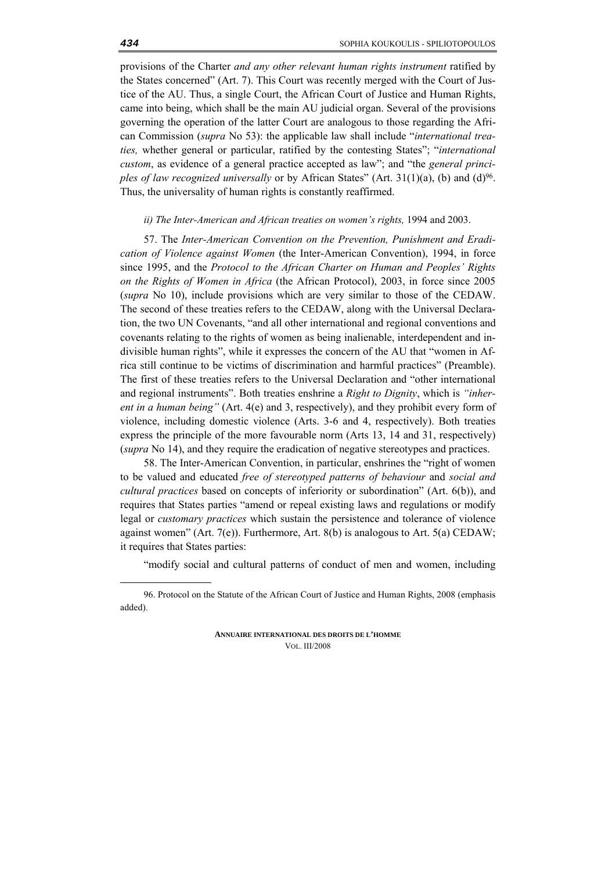provisions of the Charter *and any other relevant human rights instrument* ratified by the States concerned" (Art. 7). This Court was recently merged with the Court of Justice of the AU. Thus, a single Court, the African Court of Justice and Human Rights, came into being, which shall be the main AU judicial organ. Several of the provisions governing the operation of the latter Court are analogous to those regarding the African Commission (*supra* No 53): the applicable law shall include "*international treaties,* whether general or particular, ratified by the contesting States"; "*international custom*, as evidence of a general practice accepted as law"; and "the *general principles of law recognized universally* or by African States" (Art. 31(1)(a), (b) and (d)<sup>96</sup>. Thus, the universality of human rights is constantly reaffirmed.

#### *ii) The Ιnter-American and African treaties on women's rights,* 1994 and 2003.

57. The *Inter-American Convention on the Prevention, Punishment and Eradication of Violence against Women* (the Inter-American Convention), 1994, in force since 1995, and the *Protocol to the African Charter on Human and Peoples' Rights on the Rights of Women in Africa* (the African Protocol), 2003, in force since 2005 (*supra* No 10), include provisions which are very similar to those of the CEDAW. The second of these treaties refers to the CEDAW, along with the Universal Declaration, the two UN Covenants, "and all other international and regional conventions and covenants relating to the rights of women as being inalienable, interdependent and indivisible human rights", while it expresses the concern of the AU that "women in Africa still continue to be victims of discrimination and harmful practices" (Preamble). The first of these treaties refers to the Universal Declaration and "other international and regional instruments". Both treaties enshrine a *Right to Dignity*, which is *"inherent in a human being"* (Art. 4(e) and 3, respectively), and they prohibit every form of violence, including domestic violence (Arts. 3-6 and 4, respectively). Both treaties express the principle of the more favourable norm (Arts 13, 14 and 31, respectively) (*supra* No 14), and they require the eradication of negative stereotypes and practices.

58. The Inter-American Convention, in particular, enshrines the "right of women to be valued and educated *free of stereotyped patterns of behaviour* and *social and cultural practices* based on concepts of inferiority or subordination" (Art. 6(b)), and requires that States parties "amend or repeal existing laws and regulations or modify legal or *customary practices* which sustain the persistence and tolerance of violence against women" (Art. 7(e)). Furthermore, Art. 8(b) is analogous to Art. 5(a) CEDAW; it requires that States parties:

"modify social and cultural patterns of conduct of men and women, including

**ANNUAIRE INTERNATIONAL DES DROITS DE L'HOMME** VOL. III/2008

<sup>96.</sup> Protocol on the Statute of the African Court of Justice and Human Rights, 2008 (emphasis added).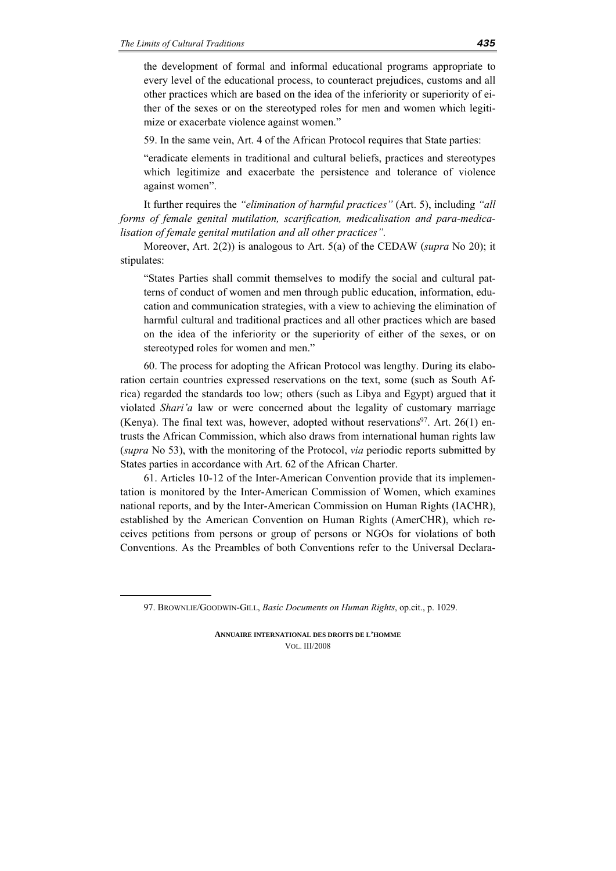<u>.</u>

the development of formal and informal educational programs appropriate to every level of the educational process, to counteract prejudices, customs and all other practices which are based on the idea of the inferiority or superiority of either of the sexes or on the stereotyped roles for men and women which legitimize or exacerbate violence against women."

59. In the same vein, Art. 4 of the African Protocol requires that State parties:

"eradicate elements in traditional and cultural beliefs, practices and stereotypes which legitimize and exacerbate the persistence and tolerance of violence against women".

It further requires the *"elimination of harmful practices"* (Art. 5), including *"all forms of female genital mutilation, scarification, medicalisation and para-medicalisation of female genital mutilation and all other practices".* 

Moreover, Art. 2(2)) is analogous to Art. 5(a) of the CEDAW (*supra* No 20); it stipulates:

"States Parties shall commit themselves to modify the social and cultural patterns of conduct of women and men through public education, information, education and communication strategies, with a view to achieving the elimination of harmful cultural and traditional practices and all other practices which are based on the idea of the inferiority or the superiority of either of the sexes, or on stereotyped roles for women and men."

60. The process for adopting the African Protocol was lengthy. During its elaboration certain countries expressed reservations on the text, some (such as South Africa) regarded the standards too low; others (such as Libya and Egypt) argued that it violated *Shari'a* law or were concerned about the legality of customary marriage (Kenya). The final text was, however, adopted without reservations $97$ . Art. 26(1) entrusts the African Commission, which also draws from international human rights law (*supra* No 53), with the monitoring of the Protocol, *via* periodic reports submitted by States parties in accordance with Art. 62 of the African Charter.

61. Articles 10-12 of the Inter-American Convention provide that its implementation is monitored by the Inter-American Commission of Women, which examines national reports, and by the Inter-American Commission on Human Rights (IACHR), established by the American Convention on Human Rights (AmerCHR), which receives petitions from persons or group of persons or NGOs for violations of both Conventions. As the Preambles of both Conventions refer to the Universal Declara-

<sup>97.</sup> BROWNLIE/GOODWIN-GILL, *Basic Documents on Human Rights*, op.cit., p. 1029.

**ANNUAIRE INTERNATIONAL DES DROITS DE L'HOMME** VOL. III/2008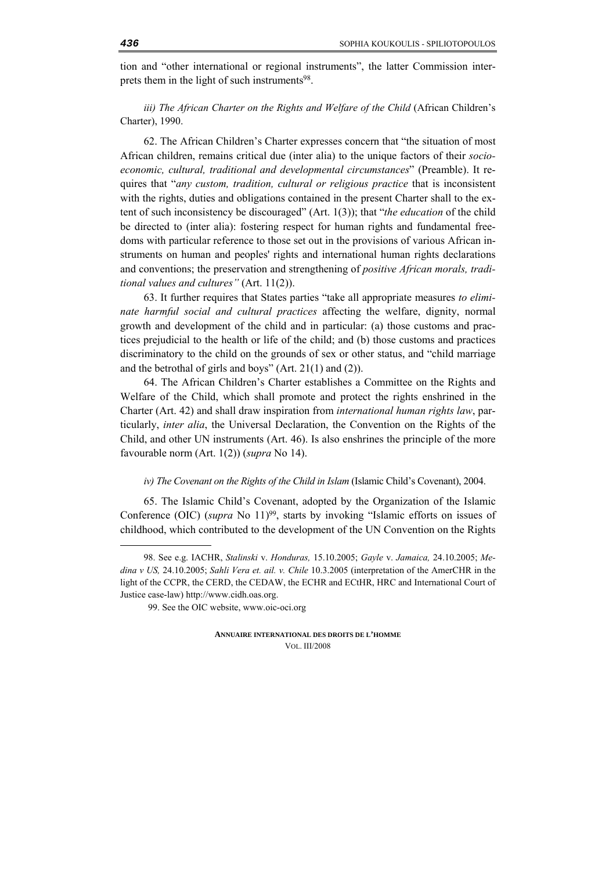tion and "other international or regional instruments", the latter Commission interprets them in the light of such instruments<sup>98</sup>.

*iii) The African Charter on the Rights and Welfare of the Child (African Children's* Charter), 1990.

62. The African Children's Charter expresses concern that "the situation of most African children, remains critical due (inter alia) to the unique factors of their *socioeconomic, cultural, traditional and developmental circumstances*" (Preamble). It requires that "*any custom, tradition, cultural or religious practice* that is inconsistent with the rights, duties and obligations contained in the present Charter shall to the extent of such inconsistency be discouraged" (Art. 1(3)); that "*the education* of the child be directed to (inter alia): fostering respect for human rights and fundamental freedoms with particular reference to those set out in the provisions of various African instruments on human and peoples' rights and international human rights declarations and conventions; the preservation and strengthening of *positive African morals, traditional values and cultures"* (Art. 11(2)).

63. It further requires that States parties "take all appropriate measures *to eliminate harmful social and cultural practices* affecting the welfare, dignity, normal growth and development of the child and in particular: (a) those customs and practices prejudicial to the health or life of the child; and (b) those customs and practices discriminatory to the child on the grounds of sex or other status, and "child marriage and the betrothal of girls and boys" (Art. 21(1) and (2)).

64. The African Children's Charter establishes a Committee on the Rights and Welfare of the Child, which shall promote and protect the rights enshrined in the Charter (Art. 42) and shall draw inspiration from *international human rights law*, particularly, *inter alia*, the Universal Declaration, the Convention on the Rights of the Child, and other UN instruments (Art. 46). Is also enshrines the principle of the more favourable norm (Art. 1(2)) (*supra* No 14).

#### *iv)* The Covenant on the Rights of the Child in Islam (Islamic Child's Covenant), 2004.

65. The Islamic Child's Covenant, adopted by the Organization of the Islamic Conference (OIC) (*supra* No 11)99, starts by invoking "Islamic efforts on issues of childhood, which contributed to the development of the UN Convention on the Rights

<sup>98.</sup> See e.g. IACHR, *Stalinski* v. *Honduras,* 15.10.2005; *Gayle* v. *Jamaica,* 24.10.2005; *Medina ν US,* 24.10.2005; *Sahli Vera et. ail. v. Chile* 10.3.2005 (interpretation of the AmerCHR in the light of the CCPR, the CERD, the CEDAW, the ECHR and ECtHR, HRC and International Court of Justice case-law) http://www.cidh.oas.org.

<sup>99.</sup> See the OIC website, www.oic-oci.org

**ANNUAIRE INTERNATIONAL DES DROITS DE L'HOMME** VOL. III/2008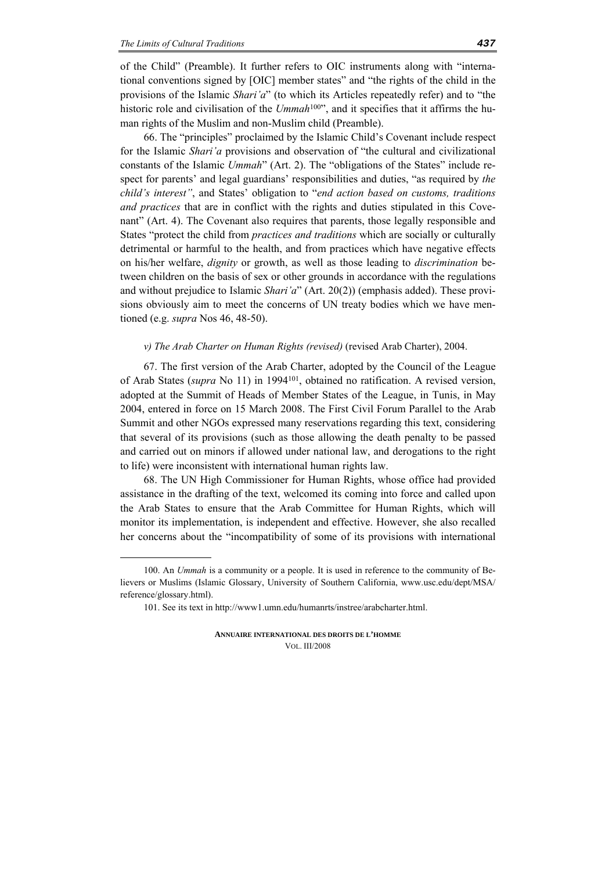<u>.</u>

of the Child" (Preamble). It further refers to OIC instruments along with "international conventions signed by [OIC] member states" and "the rights of the child in the provisions of the Islamic *Shari'a*" (to which its Articles repeatedly refer) and to "the historic role and civilisation of the *Ummah*<sup>100"</sup>, and it specifies that it affirms the human rights of the Muslim and non-Muslim child (Preamble).

66. The "principles" proclaimed by the Islamic Child's Covenant include respect for the Islamic *Shari'a* provisions and observation of "the cultural and civilizational constants of the Islamic *Ummah*" (Art. 2). The "obligations of the States" include respect for parents' and legal guardians' responsibilities and duties, "as required by *the child's interest"*, and States' obligation to "*end action based on customs, traditions and practices* that are in conflict with the rights and duties stipulated in this Covenant" (Art. 4). The Covenant also requires that parents, those legally responsible and States "protect the child from *practices and traditions* which are socially or culturally detrimental or harmful to the health, and from practices which have negative effects on his/her welfare, *dignity* or growth, as well as those leading to *discrimination* between children on the basis of sex or other grounds in accordance with the regulations and without prejudice to Islamic *Shari'a*" (Art. 20(2)) (emphasis added). These provisions obviously aim to meet the concerns of UN treaty bodies which we have mentioned (e.g. *supra* Nos 46, 48-50).

#### *v) The Arab Charter on Human Rights (revised)* (revised Arab Charter), 2004.

67. The first version of the Arab Charter, adopted by the Council of the League of Arab States (*supra* No 11) in 1994101, obtained no ratification. A revised version, adopted at the Summit of Heads of Member States of the League, in Tunis, in May 2004, entered in force on 15 March 2008. The First Civil Forum Parallel to the Arab Summit and other NGOs expressed many reservations regarding this text, considering that several of its provisions (such as those allowing the death penalty to be passed and carried out on minors if allowed under national law, and derogations to the right to life) were inconsistent with international human rights law.

68. The UN High Commissioner for Human Rights, whose office had provided assistance in the drafting of the text, welcomed its coming into force and called upon the Arab States to ensure that the Arab Committee for Human Rights, which will monitor its implementation, is independent and effective. However, she also recalled her concerns about the "incompatibility of some of its provisions with international

<sup>100.</sup> An *Ummah* is a community or a people. It is used in reference to the community of Believers or Muslims (Islamic Glossary, University of Southern California, www.usc.edu/dept/MSA/ reference/glossary.html).

<sup>101.</sup> See its text in http://www1.umn.edu/humanrts/instree/arabcharter.html.

**ANNUAIRE INTERNATIONAL DES DROITS DE L'HOMME** VOL. III/2008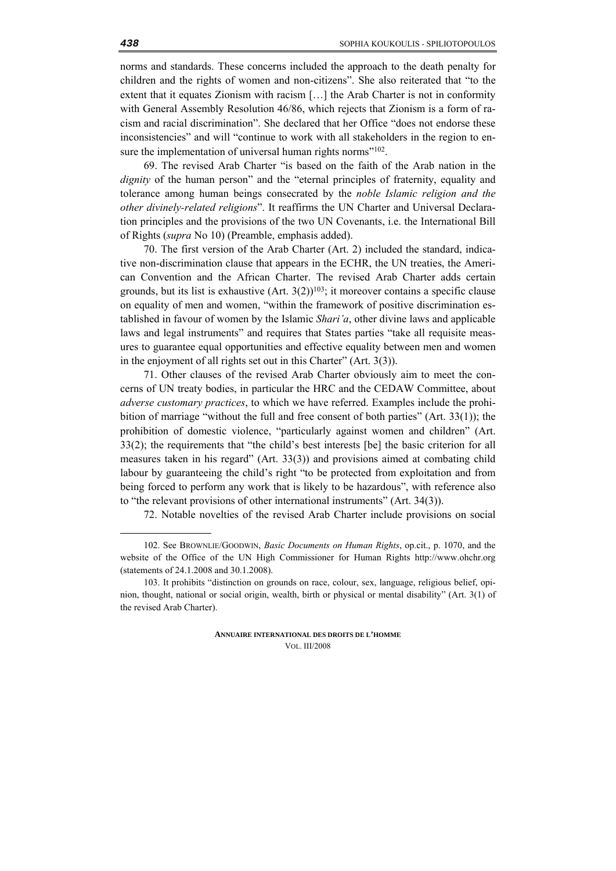norms and standards. These concerns included the approach to the death penalty for children and the rights of women and non-citizens". She also reiterated that "to the extent that it equates Zionism with racism […] the Arab Charter is not in conformity with General Assembly Resolution 46/86, which rejects that Zionism is a form of racism and racial discrimination". She declared that her Office "does not endorse these inconsistencies" and will "continue to work with all stakeholders in the region to ensure the implementation of universal human rights norms"<sup>102</sup>.

69. The revised Arab Charter "is based on the faith of the Arab nation in the *dignity* of the human person" and the "eternal principles of fraternity, equality and tolerance among human beings consecrated by the *noble Islamic religion and the other divinely-related religions*". It reaffirms the UN Charter and Universal Declaration principles and the provisions of the two UN Covenants, i.e. the International Bill of Rights (*supra* No 10) (Preamble, emphasis added).

70. The first version of the Arab Charter (Art. 2) included the standard, indicative non-discrimination clause that appears in the ECHR, the UN treaties, the American Convention and the African Charter. The revised Arab Charter adds certain grounds, but its list is exhaustive  $(Art. 3(2))^{103}$ ; it moreover contains a specific clause on equality of men and women, "within the framework of positive discrimination established in favour of women by the Islamic *Shari'a*, other divine laws and applicable laws and legal instruments" and requires that States parties "take all requisite measures to guarantee equal opportunities and effective equality between men and women in the enjoyment of all rights set out in this Charter" (Art. 3(3)).

71. Other clauses of the revised Arab Charter obviously aim to meet the concerns of UN treaty bodies, in particular the HRC and the CEDAW Committee, about *adverse customary practices*, to which we have referred. Examples include the prohibition of marriage "without the full and free consent of both parties" (Art. 33(1)); the prohibition of domestic violence, "particularly against women and children" (Art. 33(2); the requirements that "the child's best interests [be] the basic criterion for all measures taken in his regard" (Art. 33(3)) and provisions aimed at combating child labour by guaranteeing the child's right "to be protected from exploitation and from being forced to perform any work that is likely to be hazardous", with reference also to "the relevant provisions of other international instruments" (Art. 34(3)).

72. Notable novelties of the revised Arab Charter include provisions on social

**ANNUAIRE INTERNATIONAL DES DROITS DE L'HOMME** VOL. III/2008

<sup>102.</sup> See BROWNLIE/GOODWIN, *Basic Documents on Human Rights*, op.cit., p. 1070, and the website of the Office of the UN High Commissioner for Human Rights http://www.ohchr.org (statements of 24.1.2008 and 30.1.2008).

<sup>103.</sup> It prohibits "distinction on grounds on race, colour, sex, language, religious belief, opinion, thought, national or social origin, wealth, birth or physical or mental disability" (Art. 3(1) of the revised Arab Charter).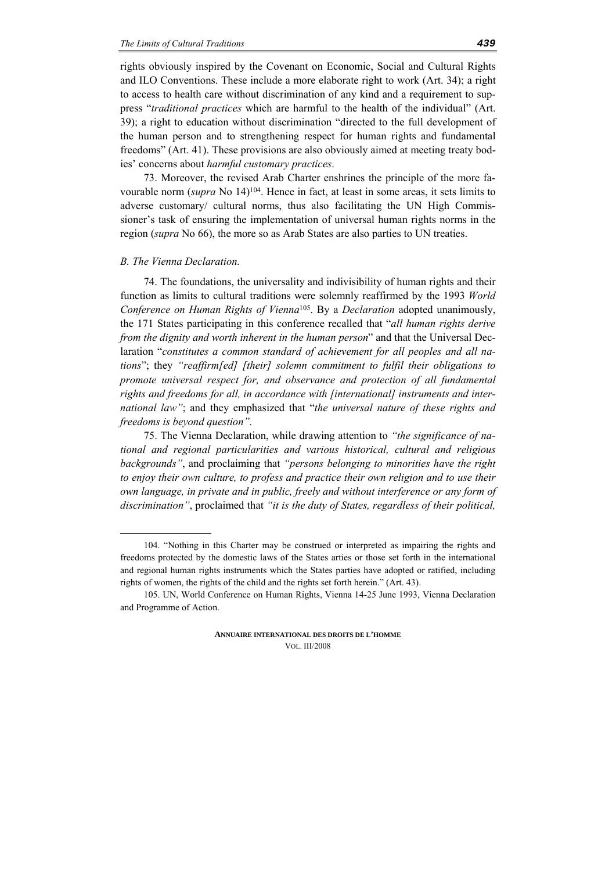rights obviously inspired by the Covenant on Economic, Social and Cultural Rights and ILO Conventions. These include a more elaborate right to work (Art. 34); a right to access to health care without discrimination of any kind and a requirement to suppress "*traditional practices* which are harmful to the health of the individual" (Art. 39); a right to education without discrimination "directed to the full development of the human person and to strengthening respect for human rights and fundamental freedoms" (Art. 41). These provisions are also obviously aimed at meeting treaty bodies' concerns about *harmful customary practices*.

73. Moreover, the revised Arab Charter enshrines the principle of the more favourable norm (*supra* No 14)104. Hence in fact, at least in some areas, it sets limits to adverse customary/ cultural norms, thus also facilitating the UN High Commissioner's task of ensuring the implementation of universal human rights norms in the region (*supra* No 66), the more so as Arab States are also parties to UN treaties.

#### *Β. The Vienna Declaration.*

<u>.</u>

74. The foundations, the universality and indivisibility of human rights and their function as limits to cultural traditions were solemnly reaffirmed by the 1993 *World Conference on Human Rights of Vienna*105. By a *Declaration* adopted unanimously, the 171 States participating in this conference recalled that "*all human rights derive from the dignity and worth inherent in the human person*" and that the Universal Declaration "*constitutes a common standard of achievement for all peoples and all nations*"; they *"reaffirm[ed] [their] solemn commitment to fulfil their obligations to promote universal respect for, and observance and protection of all fundamental rights and freedoms for all, in accordance with [international] instruments and international law"*; and they emphasized that "*the universal nature of these rights and freedoms is beyond question".* 

75. The Vienna Declaration, while drawing attention to *"the significance of national and regional particularities and various historical, cultural and religious backgrounds"*, and proclaiming that *"persons belonging to minorities have the right to enjoy their own culture, to profess and practice their own religion and to use their own language, in private and in public, freely and without interference or any form of discrimination"*, proclaimed that *"it is the duty of States, regardless of their political,* 

<sup>104. &</sup>quot;Nothing in this Charter may be construed or interpreted as impairing the rights and freedoms protected by the domestic laws of the States arties or those set forth in the international and regional human rights instruments which the States parties have adopted or ratified, including rights of women, the rights of the child and the rights set forth herein." (Art. 43).

<sup>105.</sup> UN, World Conference on Human Rights, Vienna 14-25 June 1993, Vienna Declaration and Programme of Action.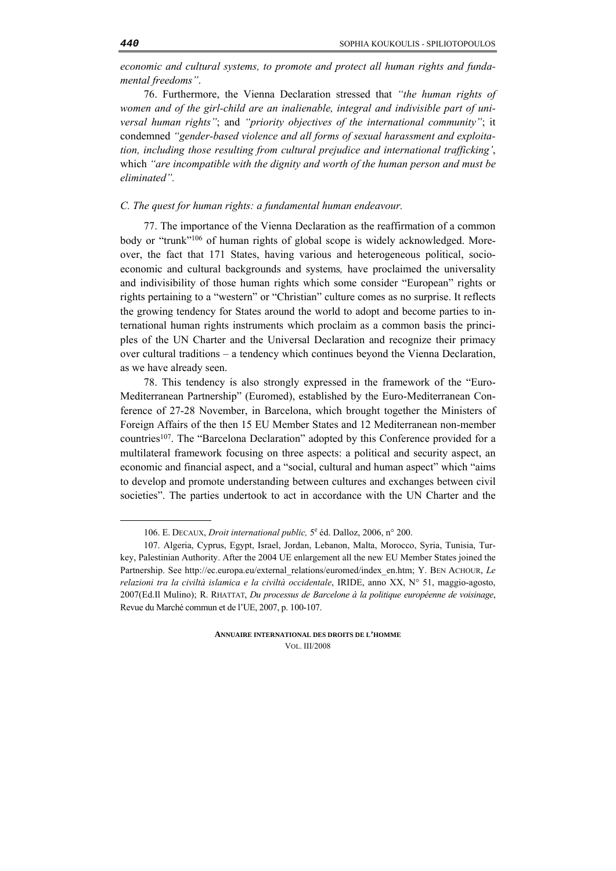*economic and cultural systems, to promote and protect all human rights and fundamental freedoms"*.

76. Furthermore, the Vienna Declaration stressed that *"the human rights of women and of the girl-child are an inalienable, integral and indivisible part of universal human rights"*; and *"priority objectives of the international community"*; it condemned *"gender-based violence and all forms of sexual harassment and exploitation, including those resulting from cultural prejudice and international trafficking'*, which *"are incompatible with the dignity and worth of the human person and must be eliminated".*

#### *C. The quest for human rights: a fundamental human endeavour.*

77. The importance of the Vienna Declaration as the reaffirmation of a common body or "trunk"106 of human rights of global scope is widely acknowledged. Moreover, the fact that 171 States, having various and heterogeneous political, socioeconomic and cultural backgrounds and systems*,* have proclaimed the universality and indivisibility of those human rights which some consider "European" rights or rights pertaining to a "western" or "Christian" culture comes as no surprise. It reflects the growing tendency for States around the world to adopt and become parties to international human rights instruments which proclaim as a common basis the principles of the UN Charter and the Universal Declaration and recognize their primacy over cultural traditions – a tendency which continues beyond the Vienna Declaration, as we have already seen.

78. This tendency is also strongly expressed in the framework of the "Euro-Mediterranean Partnership" (Euromed), established by the Euro-Mediterranean Conference of 27-28 November, in Barcelona, which brought together the Ministers of Foreign Affairs of the then 15 EU Member States and 12 Mediterranean non-member countries107. The "Barcelona Declaration" adopted by this Conference provided for a multilateral framework focusing on three aspects: a political and security aspect, an economic and financial aspect, and a "social, cultural and human aspect" which "aims to develop and promote understanding between cultures and exchanges between civil societies". The parties undertook to act in accordance with the UN Charter and the

**ANNUAIRE INTERNATIONAL DES DROITS DE L'HOMME** VOL. III/2008

<sup>106.</sup> E. DECAUX, *Droit international public*,  $5^e$  éd. Dalloz, 2006, n° 200.

<sup>107.</sup> Algeria, Cyprus, Egypt, Israel, Jordan, Lebanon, Malta, Morocco, Syria, Tunisia, Turkey, Palestinian Authority. After the 2004 UE enlargement all the new EU Member States joined the Partnership. See http://ec.europa.eu/external\_relations/euromed/index\_en.htm; Y. BEN ACHOUR, *Le relazioni tra la civiltà islamica e la civiltà occidentale*, IRIDE, anno XX, N° 51, maggio-agosto, 2007(Ed.Il Mulino); R. RHATTAT, *Du processus de Barcelone à la politique européenne de voisinage*, Revue du Marché commun et de l'UE, 2007, p. 100-107.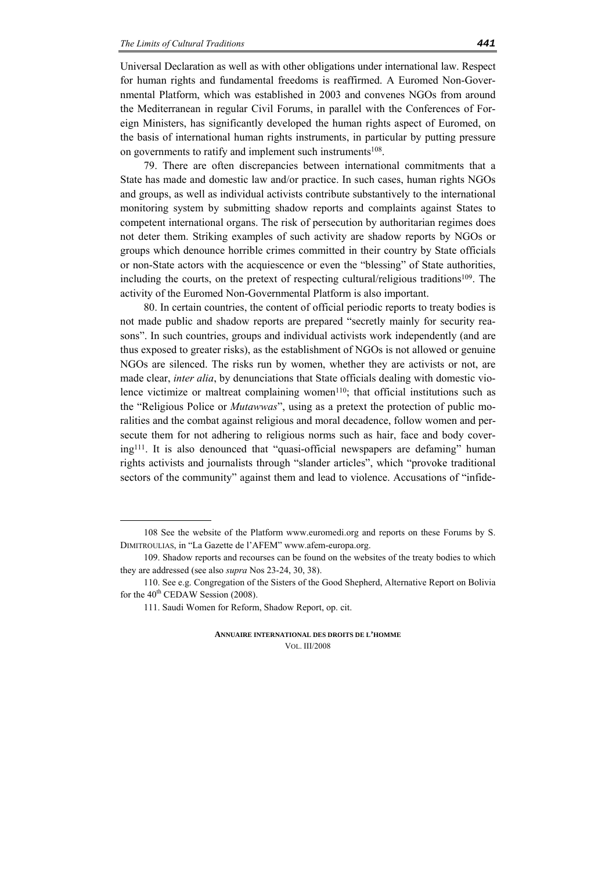Universal Declaration as well as with other obligations under international law. Respect for human rights and fundamental freedoms is reaffirmed. A Euromed Non-Governmental Platform, which was established in 2003 and convenes NGOs from around the Mediterranean in regular Civil Forums, in parallel with the Conferences of Foreign Ministers, has significantly developed the human rights aspect of Euromed, on the basis of international human rights instruments, in particular by putting pressure on governments to ratify and implement such instruments<sup>108</sup>.

79. There are often discrepancies between international commitments that a State has made and domestic law and/or practice. In such cases, human rights NGOs and groups, as well as individual activists contribute substantively to the international monitoring system by submitting shadow reports and complaints against States to competent international organs. The risk of persecution by authoritarian regimes does not deter them. Striking examples of such activity are shadow reports by NGOs or groups which denounce horrible crimes committed in their country by State officials or non-State actors with the acquiescence or even the "blessing" of State authorities, including the courts, on the pretext of respecting cultural/religious traditions<sup>109</sup>. The activity of the Euromed Non-Governmental Platform is also important.

80. In certain countries, the content of official periodic reports to treaty bodies is not made public and shadow reports are prepared "secretly mainly for security reasons". In such countries, groups and individual activists work independently (and are thus exposed to greater risks), as the establishment of NGOs is not allowed or genuine NGOs are silenced. The risks run by women, whether they are activists or not, are made clear, *inter alia*, by denunciations that State officials dealing with domestic violence victimize or maltreat complaining women<sup>110</sup>; that official institutions such as the "Religious Police or *Mutawwas*", using as a pretext the protection of public moralities and the combat against religious and moral decadence, follow women and persecute them for not adhering to religious norms such as hair, face and body covering111. It is also denounced that "quasi-official newspapers are defaming" human rights activists and journalists through "slander articles", which "provoke traditional sectors of the community" against them and lead to violence. Accusations of "infide-

<sup>108</sup> See the website of the Platform www.euromedi.org and reports on these Forums by S. DIMITROULIAS, in "La Gazette de l'AFEM" www.afem-europa.org.

<sup>109.</sup> Shadow reports and recourses can be found on the websites of the treaty bodies to which they are addressed (see also *supra* Nos 23-24, 30, 38).

<sup>110.</sup> See e.g. Congregation of the Sisters of the Good Shepherd, Alternative Report on Bolivia for the  $40^{\text{th}}$  CEDAW Session (2008).

<sup>111.</sup> Saudi Women for Reform, Shadow Report, op. cit.

**ANNUAIRE INTERNATIONAL DES DROITS DE L'HOMME** VOL. III/2008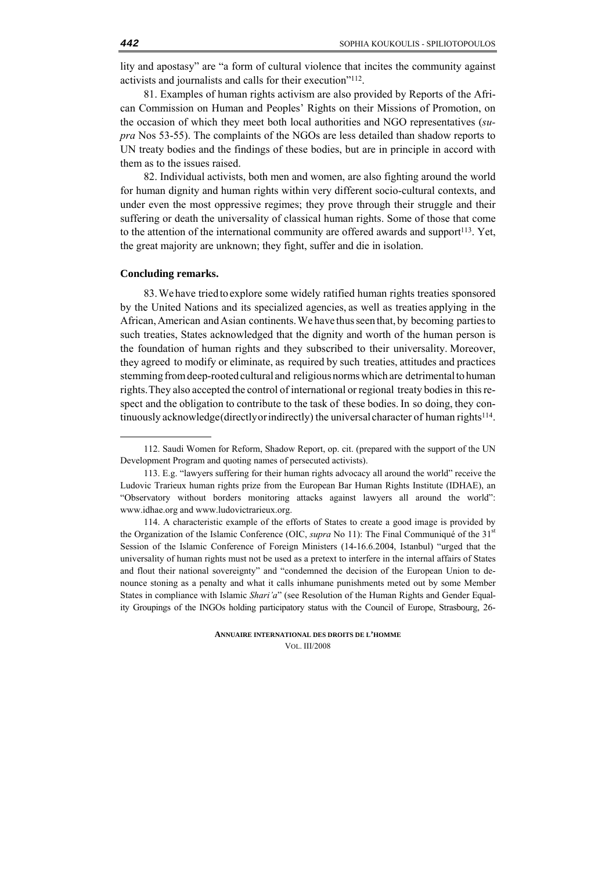lity and apostasy" are "a form of cultural violence that incites the community against activists and journalists and calls for their execution"112.

81. Examples of human rights activism are also provided by Reports of the African Commission on Human and Peoples' Rights on their Missions of Promotion, on the occasion of which they meet both local authorities and NGO representatives (*supra* Nos 53-55). The complaints of the NGOs are less detailed than shadow reports to UN treaty bodies and the findings of these bodies, but are in principle in accord with them as to the issues raised.

82. Individual activists, both men and women, are also fighting around the world for human dignity and human rights within very different socio-cultural contexts, and under even the most oppressive regimes; they prove through their struggle and their suffering or death the universality of classical human rights. Some of those that come to the attention of the international community are offered awards and support $13$ . Yet, the great majority are unknown; they fight, suffer and die in isolation.

#### **Concluding remarks.**

-

83.We have triedto explore some widely ratified human rights treaties sponsored by the United Nations and its specialized agencies, as well as treaties applying in the African,American andAsian continents.We have thusseen that, by becoming partiesto such treaties, States acknowledged that the dignity and worth of the human person is the foundation of human rights and they subscribed to their universality. Moreover, they agreed to modify or eliminate, as required by such treaties, attitudes and practices stemming from deep-rooted cultural and religious norms which are detrimental to human rights.They also accepted the control of international or regional treaty bodiesin thisrespect and the obligation to contribute to the task of these bodies. In so doing, they continuously acknowledge(directlyor indirectly) the universal character of human rights<sup>114</sup>.

<sup>112.</sup> Saudi Women for Reform, Shadow Report, op. cit. (prepared with the support of the UN Development Program and quoting names of persecuted activists).

<sup>113.</sup> E.g. "lawyers suffering for their human rights advocacy all around the world" receive the Ludovic Trarieux human rights prize from the European Bar Human Rights Institute (IDHAE), an "Observatory without borders monitoring attacks against lawyers all around the world": www.idhae.org and www.ludovictrarieux.org.

<sup>114.</sup> A characteristic example of the efforts of States to create a good image is provided by the Organization of the Islamic Conference (OIC, *supra* No 11): The Final Communiqué of the 31<sup>st</sup> Session of the Islamic Conference of Foreign Ministers (14-16.6.2004, Istanbul) "urged that the universality of human rights must not be used as a pretext to interfere in the internal affairs of States and flout their national sovereignty" and "condemned the decision of the European Union to denounce stoning as a penalty and what it calls inhumane punishments meted out by some Member States in compliance with Islamic *Shari'a*" (see Resolution of the Human Rights and Gender Equality Groupings of the INGOs holding participatory status with the Council of Europe, Strasbourg, 26-

**ANNUAIRE INTERNATIONAL DES DROITS DE L'HOMME** VOL. III/2008